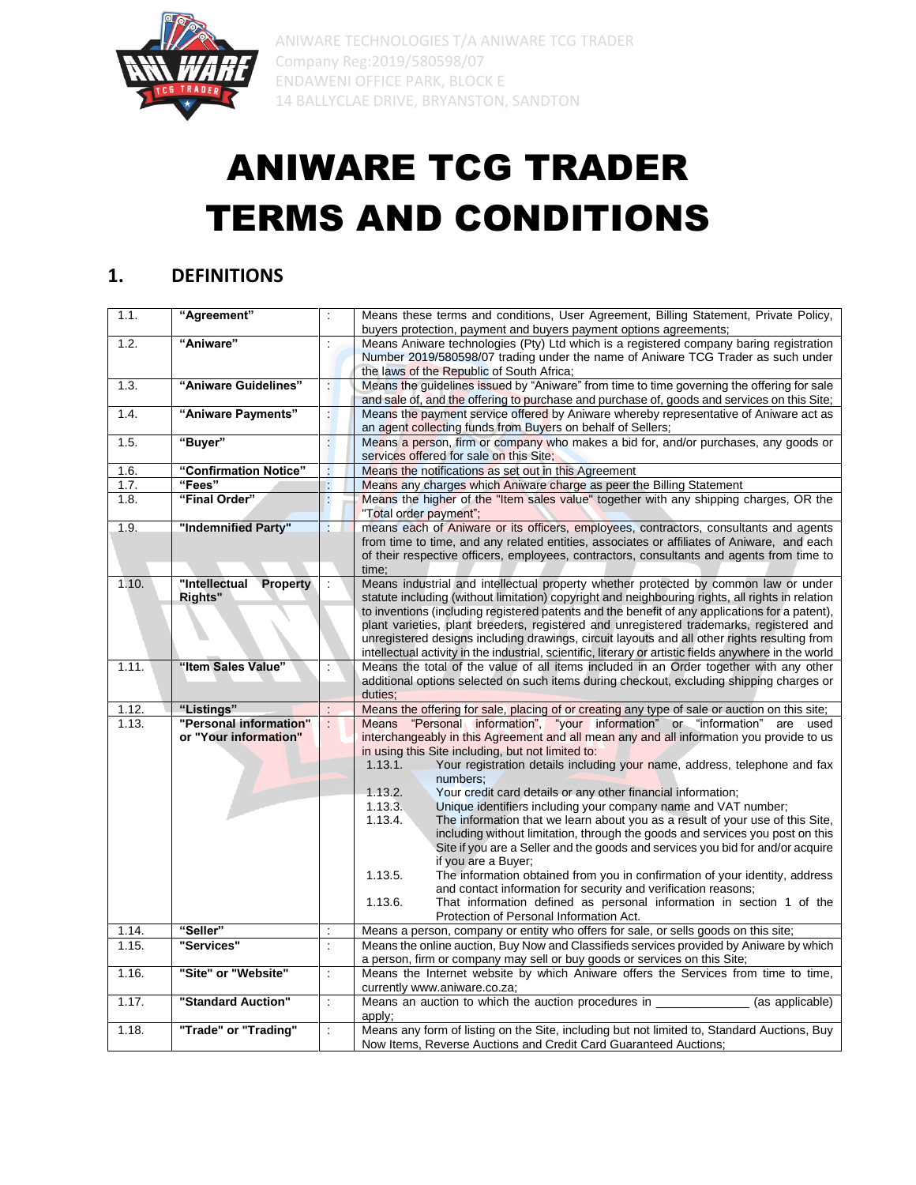

# ANIWARE TCG TRADER TERMS AND CONDITIONS

#### **1. DEFINITIONS**

| 1.1.  | "Agreement"                                     | $\ddot{\phantom{a}}$     | Means these terms and conditions, User Agreement, Billing Statement, Private Policy,<br>buyers protection, payment and buyers payment options agreements;                                                                                                                                                                                                                                                                                                                                                                                                                                                                                                                                                                                                                                                                                                                                                                                                                                                                                                               |
|-------|-------------------------------------------------|--------------------------|-------------------------------------------------------------------------------------------------------------------------------------------------------------------------------------------------------------------------------------------------------------------------------------------------------------------------------------------------------------------------------------------------------------------------------------------------------------------------------------------------------------------------------------------------------------------------------------------------------------------------------------------------------------------------------------------------------------------------------------------------------------------------------------------------------------------------------------------------------------------------------------------------------------------------------------------------------------------------------------------------------------------------------------------------------------------------|
| 1.2.  | "Aniware"                                       | $\ddot{\phantom{a}}$     | Means Aniware technologies (Pty) Ltd which is a registered company baring registration<br>Number 2019/580598/07 trading under the name of Aniware TCG Trader as such under<br>the laws of the Republic of South Africa;                                                                                                                                                                                                                                                                                                                                                                                                                                                                                                                                                                                                                                                                                                                                                                                                                                                 |
| 1.3.  | "Aniware Guidelines"                            | $\ddot{\phantom{a}}$     | Means the guidelines issued by "Aniware" from time to time governing the offering for sale<br>and sale of, and the offering to purchase and purchase of, goods and services on this Site;                                                                                                                                                                                                                                                                                                                                                                                                                                                                                                                                                                                                                                                                                                                                                                                                                                                                               |
| 1.4.  | "Aniware Payments"                              | H.                       | Means the payment service offered by Aniware whereby representative of Aniware act as<br>an agent collecting funds from Buyers on behalf of Sellers;                                                                                                                                                                                                                                                                                                                                                                                                                                                                                                                                                                                                                                                                                                                                                                                                                                                                                                                    |
| 1.5.  | "Buyer"                                         | ł.                       | Means a person, firm or company who makes a bid for, and/or purchases, any goods or<br>services offered for sale on this Site;                                                                                                                                                                                                                                                                                                                                                                                                                                                                                                                                                                                                                                                                                                                                                                                                                                                                                                                                          |
| 1.6.  | "Confirmation Notice"                           | ł,                       | Means the notifications as set out in this Agreement                                                                                                                                                                                                                                                                                                                                                                                                                                                                                                                                                                                                                                                                                                                                                                                                                                                                                                                                                                                                                    |
| 1.7.  | "Fees"                                          | Þ                        | Means any charges which Aniware charge as peer the Billing Statement                                                                                                                                                                                                                                                                                                                                                                                                                                                                                                                                                                                                                                                                                                                                                                                                                                                                                                                                                                                                    |
| 1.8.  | "Final Order"                                   | ÷                        | Means the higher of the "Item sales value" together with any shipping charges, OR the<br>"Total order payment";                                                                                                                                                                                                                                                                                                                                                                                                                                                                                                                                                                                                                                                                                                                                                                                                                                                                                                                                                         |
| 1.9.  | "Indemnified Party"                             | ÷                        | means each of Aniware or its officers, employees, contractors, consultants and agents<br>from time to time, and any related entities, associates or affiliates of Aniware, and each<br>of their respective officers, employees, contractors, consultants and agents from time to<br>time:                                                                                                                                                                                                                                                                                                                                                                                                                                                                                                                                                                                                                                                                                                                                                                               |
| 1.10. | "Intellectual<br><b>Property</b><br>Rights"     |                          | Means industrial and intellectual property whether protected by common law or under<br>statute including (without limitation) copyright and neighbouring rights, all rights in relation<br>to inventions (including registered patents and the benefit of any applications for a patent).<br>plant varieties, plant breeders, registered and unregistered trademarks, registered and<br>unregistered designs including drawings, circuit layouts and all other rights resulting from<br>intellectual activity in the industrial, scientific, literary or artistic fields anywhere in the world                                                                                                                                                                                                                                                                                                                                                                                                                                                                          |
| 1.11. | "Item Sales Value"                              | $\ddot{\phantom{a}}$     | Means the total of the value of all items included in an Order together with any other<br>additional options selected on such items during checkout, excluding shipping charges or<br>duties:                                                                                                                                                                                                                                                                                                                                                                                                                                                                                                                                                                                                                                                                                                                                                                                                                                                                           |
| 1.12. | "Listings"                                      |                          | Means the offering for sale, placing of or creating any type of sale or auction on this site;                                                                                                                                                                                                                                                                                                                                                                                                                                                                                                                                                                                                                                                                                                                                                                                                                                                                                                                                                                           |
| 1.13. | "Personal information"<br>or "Your information" |                          | Means "Personal information", "your information" or "information" are used<br>interchangeably in this Agreement and all mean any and all information you provide to us<br>in using this Site including, but not limited to:<br>Your registration details including your name, address, telephone and fax<br>1.13.1.<br>numbers;<br>1.13.2.<br>Your credit card details or any other financial information;<br>1.13.3.<br>Unique identifiers including your company name and VAT number;<br>The information that we learn about you as a result of your use of this Site,<br>1.13.4.<br>including without limitation, through the goods and services you post on this<br>Site if you are a Seller and the goods and services you bid for and/or acquire<br>if you are a Buyer;<br>The information obtained from you in confirmation of your identity, address<br>1.13.5.<br>and contact information for security and verification reasons;<br>That information defined as personal information in section 1 of the<br>1.13.6.<br>Protection of Personal Information Act. |
| 1.14. | "Seller"                                        |                          | Means a person, company or entity who offers for sale, or sells goods on this site;                                                                                                                                                                                                                                                                                                                                                                                                                                                                                                                                                                                                                                                                                                                                                                                                                                                                                                                                                                                     |
| 1.15. | "Services"                                      | $\overline{\phantom{a}}$ | Means the online auction, Buy Now and Classifieds services provided by Aniware by which<br>a person, firm or company may sell or buy goods or services on this Site;                                                                                                                                                                                                                                                                                                                                                                                                                                                                                                                                                                                                                                                                                                                                                                                                                                                                                                    |
| 1.16. | "Site" or "Website"                             | $\ddot{\phantom{a}}$     | Means the Internet website by which Aniware offers the Services from time to time,<br>currently www.aniware.co.za;                                                                                                                                                                                                                                                                                                                                                                                                                                                                                                                                                                                                                                                                                                                                                                                                                                                                                                                                                      |
| 1.17. | "Standard Auction"                              | $\overline{\phantom{a}}$ | Means an auction to which the auction procedures in<br>(as applicable)<br>apply;                                                                                                                                                                                                                                                                                                                                                                                                                                                                                                                                                                                                                                                                                                                                                                                                                                                                                                                                                                                        |
| 1.18. | "Trade" or "Trading"                            | $\ddot{\phantom{a}}$     | Means any form of listing on the Site, including but not limited to, Standard Auctions, Buy<br>Now Items, Reverse Auctions and Credit Card Guaranteed Auctions;                                                                                                                                                                                                                                                                                                                                                                                                                                                                                                                                                                                                                                                                                                                                                                                                                                                                                                         |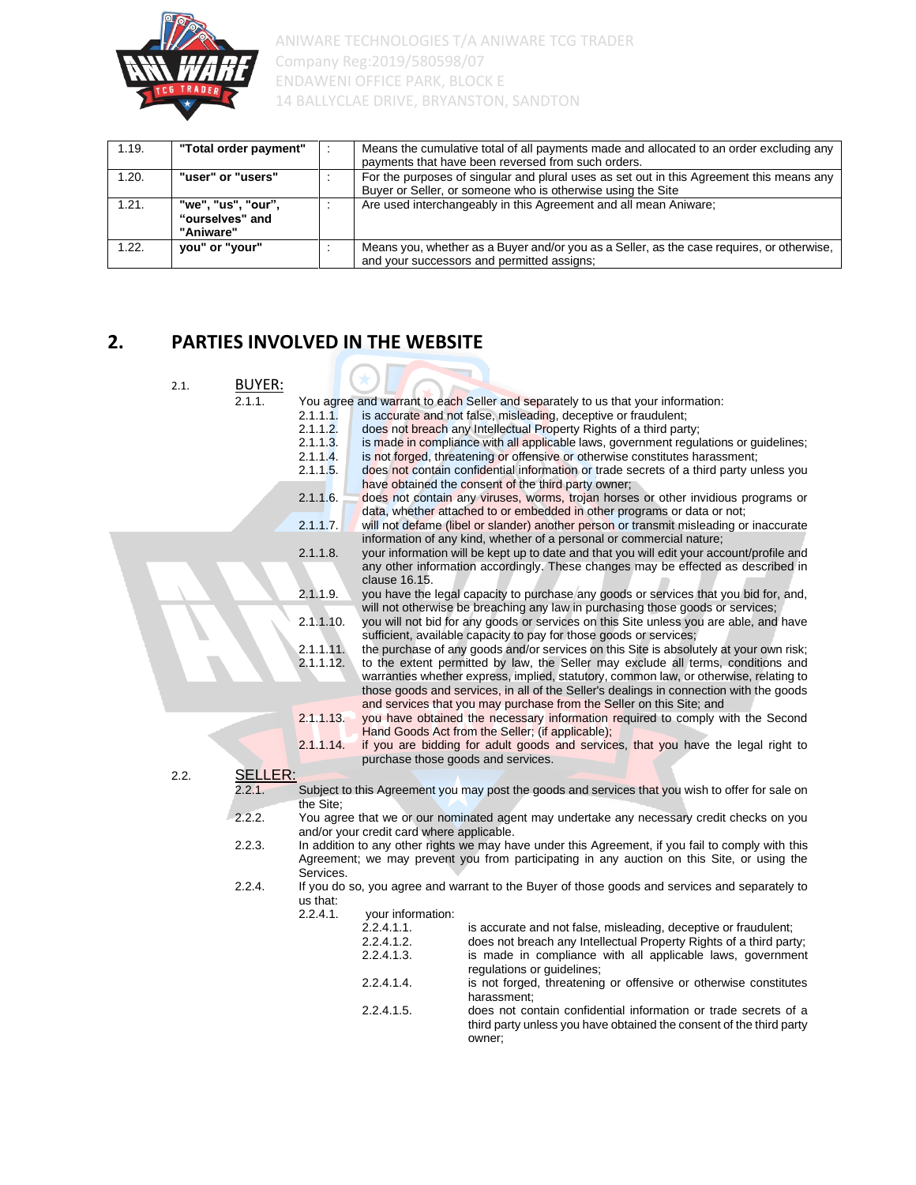

| 1.19. | "Total order payment"                              | Means the cumulative total of all payments made and allocated to an order excluding any<br>payments that have been reversed from such orders.           |
|-------|----------------------------------------------------|---------------------------------------------------------------------------------------------------------------------------------------------------------|
| 1.20. | "user" or "users"                                  | For the purposes of singular and plural uses as set out in this Agreement this means any<br>Buyer or Seller, or someone who is otherwise using the Site |
| 1.21. | "we", "us", "our",<br>"ourselves" and<br>"Aniware" | Are used interchangeably in this Agreement and all mean Aniware;                                                                                        |
| 1.22. | you" or "your"                                     | Means you, whether as a Buyer and/or you as a Seller, as the case requires, or otherwise,<br>and your successors and permitted assigns;                 |

#### **2. PARTIES INVOLVED IN THE WEBSITE**

| 2.1. | <b>BUYER:</b>  |                                                                                       |                                                      |                                                                                                                                                                                                                                                                                                                                                                                                                                                                                                                                                                                                                                                                                                                     |
|------|----------------|---------------------------------------------------------------------------------------|------------------------------------------------------|---------------------------------------------------------------------------------------------------------------------------------------------------------------------------------------------------------------------------------------------------------------------------------------------------------------------------------------------------------------------------------------------------------------------------------------------------------------------------------------------------------------------------------------------------------------------------------------------------------------------------------------------------------------------------------------------------------------------|
|      | 2.1.1.         | 2.1.1.1.<br>2.1.1.2.<br>$2.1.1.\overline{3}$ .<br>2.1.1.4.<br>2.1.1.5.<br>$2.1.1.6$ . |                                                      | You agree and warrant to each Seller and separately to us that your information:<br>is accurate and not false, misleading, deceptive or fraudulent;<br>does not breach any Intellectual Property Rights of a third party;<br>is made in compliance with all applicable laws, government regulations or guidelines;<br>is not forged, threatening or offensive or otherwise constitutes harassment;<br>does not contain confidential information or trade secrets of a third party unless you<br>have obtained the consent of the third party owner;<br>does not contain any viruses, worms, trojan horses or other invidious programs or<br>data, whether attached to or embedded in other programs or data or not; |
|      |                | 2.1.1.7.<br>2.1.1.8.<br>2.1.1.9.                                                      | clause 16.15.                                        | will not defame (libel or slander) another person or transmit misleading or inaccurate<br>information of any kind, whether of a personal or commercial nature;<br>your information will be kept up to date and that you will edit your account/profile and<br>any other information accordingly. These changes may be effected as described in<br>you have the legal capacity to purchase any goods or services that you bid for, and,                                                                                                                                                                                                                                                                              |
|      |                | 2.1.1.10.<br>2.1.1.11.<br>2.1.1.12.                                                   |                                                      | will not otherwise be breaching any law in purchasing those goods or services;<br>you will not bid for any goods or services on this Site unless you are able, and have<br>sufficient, available capacity to pay for those goods or services;<br>the purchase of any goods and/or services on this Site is absolutely at your own risk;<br>to the extent permitted by law, the Seller may exclude all terms, conditions and<br>warranties whether express, implied, statutory, common law, or otherwise, relating to<br>those goods and services, in all of the Seller's dealings in connection with the goods                                                                                                      |
| 2.2. | <b>SELLER:</b> | 2.1.1.13.<br>2.1.1.14.                                                                | purchase those goods and services.                   | and services that you may purchase from the Seller on this Site; and<br>you have obtained the necessary information required to comply with the Second<br>Hand Goods Act from the Seller; (if applicable);<br>if you are bidding for adult goods and services, that you have the legal right to                                                                                                                                                                                                                                                                                                                                                                                                                     |
|      | 2.2.1.         | the Site:                                                                             |                                                      | Subject to this Agreement you may post the goods and services that you wish to offer for sale on                                                                                                                                                                                                                                                                                                                                                                                                                                                                                                                                                                                                                    |
|      | 2.2.2.         |                                                                                       | and/or your credit card where applicable.            | You agree that we or our nominated agent may undertake any necessary credit checks on you                                                                                                                                                                                                                                                                                                                                                                                                                                                                                                                                                                                                                           |
|      | 2.2.3.         | Services.                                                                             |                                                      | In addition to any other rights we may have under this Agreement, if you fail to comply with this<br>Agreement; we may prevent you from participating in any auction on this Site, or using the                                                                                                                                                                                                                                                                                                                                                                                                                                                                                                                     |
|      | 2.2.4.         | us that:<br>$2.2.4.1$ .                                                               | your information:                                    | If you do so, you agree and warrant to the Buyer of those goods and services and separately to                                                                                                                                                                                                                                                                                                                                                                                                                                                                                                                                                                                                                      |
|      |                |                                                                                       | 2.2.4.1.1.<br>2.2.4.1.2.<br>2.2.4.1.3.<br>2.2.4.1.4. | is accurate and not false, misleading, deceptive or fraudulent;<br>does not breach any Intellectual Property Rights of a third party;<br>is made in compliance with all applicable laws, government<br>regulations or guidelines;<br>is not forged, threatening or offensive or otherwise constitutes                                                                                                                                                                                                                                                                                                                                                                                                               |
|      |                |                                                                                       | 2.2.4.1.5.                                           | harassment:<br>does not contain confidential information or trade secrets of a<br>third party unless you have obtained the consent of the third party<br>owner;                                                                                                                                                                                                                                                                                                                                                                                                                                                                                                                                                     |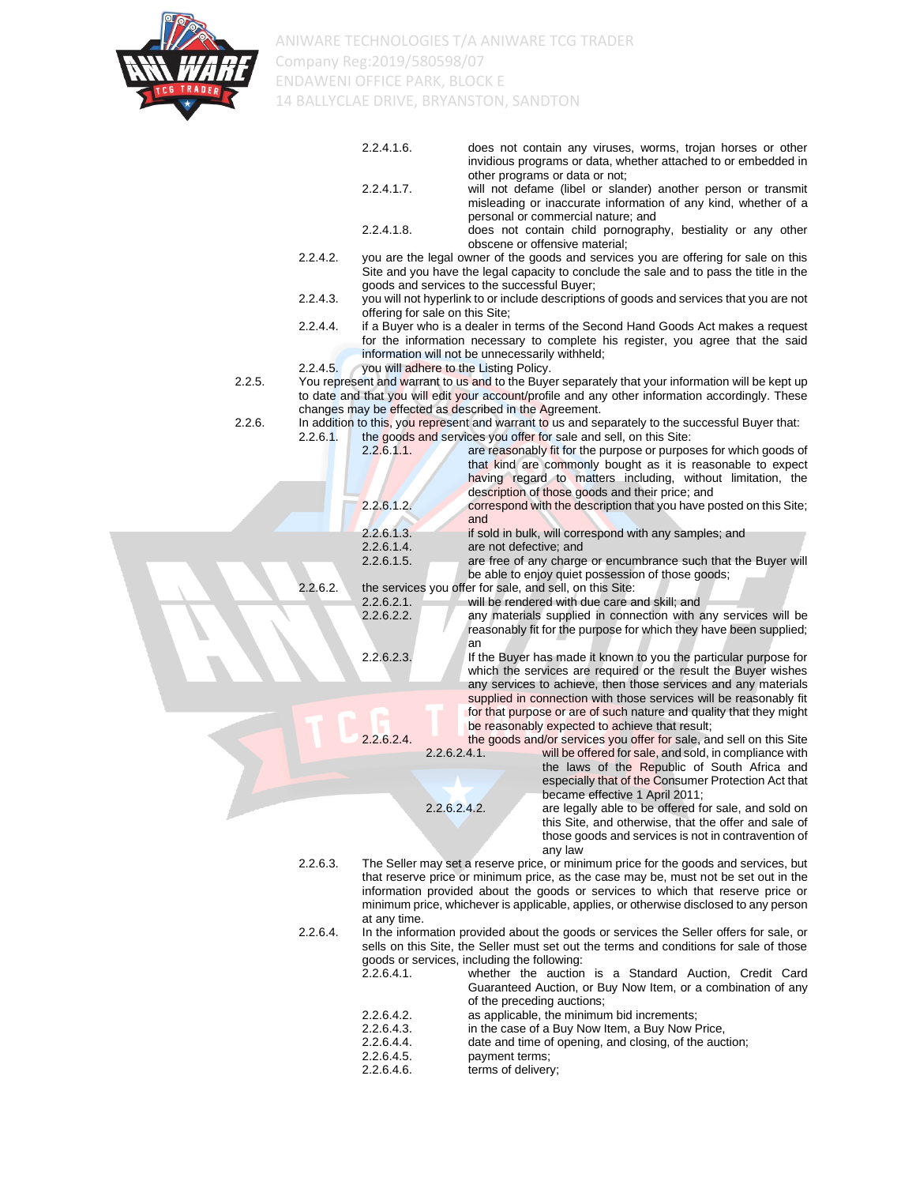

|        |             | 2.2.4.1.6.                                                                                |                        | does not contain any viruses, worms, trojan horses or other<br>invidious programs or data, whether attached to or embedded in                                                 |
|--------|-------------|-------------------------------------------------------------------------------------------|------------------------|-------------------------------------------------------------------------------------------------------------------------------------------------------------------------------|
|        |             | 2.2.4.1.7.                                                                                |                        | other programs or data or not;<br>will not defame (libel or slander) another person or transmit<br>misleading or inaccurate information of any kind, whether of a             |
|        |             |                                                                                           |                        | personal or commercial nature; and                                                                                                                                            |
|        |             | 2.2.4.1.8.                                                                                |                        | does not contain child pornography, bestiality or any other<br>obscene or offensive material;                                                                                 |
|        | 2.2.4.2.    | goods and services to the successful Buyer;                                               |                        | you are the legal owner of the goods and services you are offering for sale on this<br>Site and you have the legal capacity to conclude the sale and to pass the title in the |
|        | 2.2.4.3.    | offering for sale on this Site;                                                           |                        | you will not hyperlink to or include descriptions of goods and services that you are not                                                                                      |
|        | 2.2.4.4.    |                                                                                           |                        | if a Buyer who is a dealer in terms of the Second Hand Goods Act makes a request<br>for the information necessary to complete his register, you agree that the said           |
|        | 2.2.4.5.    | information will not be unnecessarily withheld;<br>you will adhere to the Listing Policy. |                        |                                                                                                                                                                               |
| 2.2.5. |             |                                                                                           |                        | You represent and warrant to us and to the Buyer separately that your information will be kept up                                                                             |
|        |             |                                                                                           |                        | to date and that you will edit your account/profile and any other information accordingly. These                                                                              |
| 2.2.6. |             | changes may be effected as described in the Agreement.                                    |                        | In addition to this, you represent and warrant to us and separately to the successful Buyer that:                                                                             |
|        | $2.2.6.1$ . |                                                                                           |                        | the goods and services you offer for sale and sell, on this Site:                                                                                                             |
|        |             | $2.2.6.1.1$ .                                                                             |                        | are reasonably fit for the purpose or purposes for which goods of                                                                                                             |
|        |             |                                                                                           |                        | that kind are commonly bought as it is reasonable to expect<br>having regard to matters including, without limitation, the                                                    |
|        |             |                                                                                           |                        | description of those goods and their price; and                                                                                                                               |
|        |             | 2.2.6.1.2                                                                                 | and                    | correspond with the description that you have posted on this Site;                                                                                                            |
|        |             | 2.2.6.1.3.                                                                                |                        | if sold in bulk, will correspond with any samples; and                                                                                                                        |
|        |             | 2.2.6.1.4.                                                                                | are not defective; and |                                                                                                                                                                               |
|        |             | 2.2.6.1.5.                                                                                |                        | are free of any charge or encumbrance such that the Buyer will<br>be able to enjoy quiet possession of those goods;                                                           |
|        | 2.2.6.2.    |                                                                                           |                        | the services you offer for sale, and sell, on this Site:                                                                                                                      |
|        |             | $2.2.6.2.1$ .<br>2.2.6.2.2.                                                               |                        | will be rendered with due care and skill; and<br>any materials supplied in connection with any services will be                                                               |
|        |             |                                                                                           | an                     | reasonably fit for the purpose for which they have been supplied;                                                                                                             |
|        |             | 2.2.6.2.3.                                                                                |                        | If the Buyer has made it known to you the particular purpose for                                                                                                              |
|        |             |                                                                                           |                        | which the services are required or the result the Buyer wishes<br>any services to achieve, then those services and any materials                                              |
|        |             |                                                                                           |                        | supplied in connection with those services will be reasonably fit                                                                                                             |
|        |             |                                                                                           |                        | for that purpose or are of such nature and quality that they might<br>be reasonably expected to achieve that result;                                                          |
|        |             | 2.2.6.2.4                                                                                 |                        | the goods and/or services you offer for sale, and sell on this Site                                                                                                           |
|        |             | $2.2.6.2.4.1$ .                                                                           |                        | will be offered for sale, and sold, in compliance with<br>the laws of the Republic of South Africa and                                                                        |
|        |             |                                                                                           |                        | especially that of the Consumer Protection Act that<br>became effective 1 April 2011;                                                                                         |
|        |             | 2.2.6.2.4.2.                                                                              |                        | are legally able to be offered for sale, and sold on                                                                                                                          |
|        |             |                                                                                           |                        | this Site, and otherwise, that the offer and sale of                                                                                                                          |
|        |             |                                                                                           |                        | those goods and services is not in contravention of<br>any law                                                                                                                |
|        | 2.2.6.3.    |                                                                                           |                        | The Seller may set a reserve price, or minimum price for the goods and services, but<br>that reserve price or minimum price, as the case may be, must not be set out in the   |
|        |             |                                                                                           |                        | information provided about the goods or services to which that reserve price or<br>minimum price, whichever is applicable, applies, or otherwise disclosed to any person      |
|        |             | at any time.                                                                              |                        |                                                                                                                                                                               |
|        | 2.2.6.4.    |                                                                                           |                        | In the information provided about the goods or services the Seller offers for sale, or                                                                                        |
|        |             | goods or services, including the following:                                               |                        | sells on this Site, the Seller must set out the terms and conditions for sale of those                                                                                        |
|        |             | $2.2.6.4.1$ .                                                                             |                        | whether the auction is a Standard Auction, Credit Card                                                                                                                        |
|        |             |                                                                                           |                        | Guaranteed Auction, or Buy Now Item, or a combination of any                                                                                                                  |
|        |             | 2.2.6.4.2.                                                                                |                        | of the preceding auctions;<br>as applicable, the minimum bid increments;                                                                                                      |
|        |             | 2.2.6.4.3.                                                                                |                        | in the case of a Buy Now Item, a Buy Now Price,                                                                                                                               |
|        |             | 2.2.6.4.4.                                                                                |                        | date and time of opening, and closing, of the auction;                                                                                                                        |

- 2.2.6.4.5. payment terms;
- 2.2.6.4.6. terms of delivery;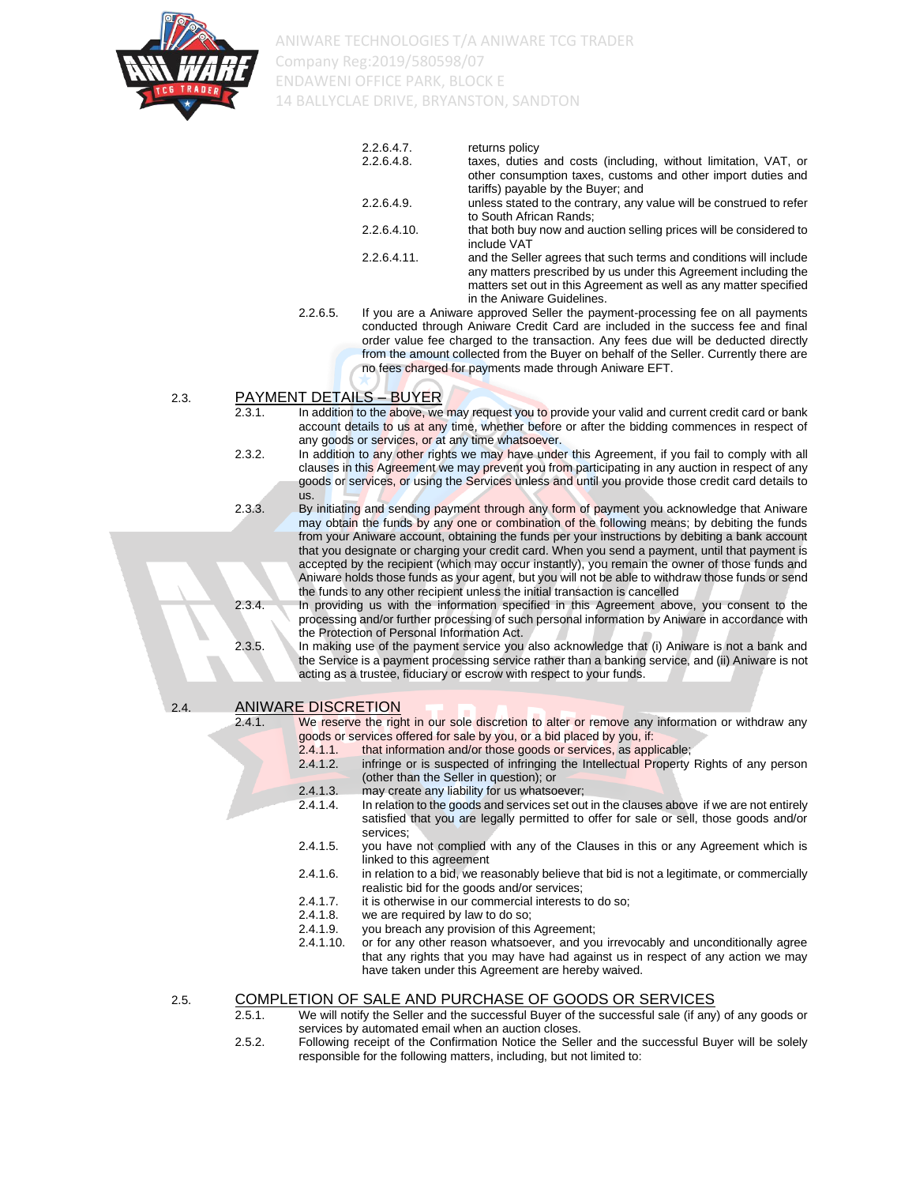

| 2.2.6.4.7.     | returns policy                                                                                                                                                                                                                          |
|----------------|-----------------------------------------------------------------------------------------------------------------------------------------------------------------------------------------------------------------------------------------|
| 2.2.6.4.8.     | taxes, duties and costs (including, without limitation, VAT, or<br>other consumption taxes, customs and other import duties and<br>tariffs) payable by the Buyer; and                                                                   |
| 2.2.6.4.9.     | unless stated to the contrary, any value will be construed to refer<br>to South African Rands:                                                                                                                                          |
| 2.2.6.4.10.    | that both buy now and auction selling prices will be considered to<br>include VAT                                                                                                                                                       |
| $2.2.6.4.11$ . | and the Seller agrees that such terms and conditions will include<br>any matters prescribed by us under this Agreement including the<br>matters set out in this Agreement as well as any matter specified<br>in the Aniware Guidelines. |

2.2.6.5. If you are a Aniware approved Seller the payment-processing fee on all payments conducted through Aniware Credit Card are included in the success fee and final order value fee charged to the transaction. Any fees due will be deducted directly from the amount collected from the Buyer on behalf of the Seller. Currently there are no fees charged for payments made through Aniware EFT.

#### 2.3. PAYMENT DETAILS – BUYER

- 2.3.1. In addition to the above, we may request you to provide your valid and current credit card or bank account details to us at any time, whether before or after the bidding commences in respect of any goods or services, or at any time whatsoever.
- 2.3.2. In addition to any other rights we may have under this Agreement, if you fail to comply with all clauses in this Agreement we may prevent you from participating in any auction in respect of any goods or services, or using the Services unless and until you provide those credit card details to us.
- 2.3.3. By initiating and sending payment through any form of payment you acknowledge that Aniware may obtain the funds by any one or combination of the following means; by debiting the funds from your Aniware account, obtaining the funds per your instructions by debiting a bank account that you designate or charging your credit card. When you send a payment, until that payment is accepted by the recipient (which may occur instantly), you remain the owner of those funds and Aniware holds those funds as your agent, but you will not be able to withdraw those funds or send the funds to any other recipient unless the initial transaction is cancelled
- 2.3.4. In providing us with the information specified in this Agreement above, you consent to the processing and/or further processing of such personal information by Aniware in accordance with the Protection of Personal Information Act.
- 2.3.5. In making use of the payment service you also acknowledge that (i) Aniware is not a bank and the Service is a payment processing service rather than a banking service, and (ii) Aniware is not acting as a trustee, fiduciary or escrow with respect to your funds.

2.4. ANIWARE DISCRETION

2.4.1. We reserve the right in our sole discretion to alter or remove any information or withdraw any goods or services offered for sale by you, or a bid placed by you, if:

- 2.4.1.1. that information and/or those goods or services, as applicable;<br>2.4.1.2. infringe or is suspected of infringing the Intellectual Property
- infringe or is suspected of infringing the Intellectual Property Rights of any person (other than the Seller in question); or
- 2.4.1.3. may create any liability for us whatsoever;
- 2.4.1.4. In relation to the goods and services set out in the clauses above if we are not entirely satisfied that you are legally permitted to offer for sale or sell, those goods and/or services;
- 2.4.1.5. you have not complied with any of the Clauses in this or any Agreement which is linked to this agreement
- 2.4.1.6. in relation to a bid, we reasonably believe that bid is not a legitimate, or commercially realistic bid for the goods and/or services;
- 2.4.1.7. it is otherwise in our commercial interests to do so;<br>2.4.1.8. we are required by law to do so;
- 2.4.1.8. we are required by law to do so;<br>2.4.1.9. you breach any provision of this
- you breach any provision of this Agreement;
- 2.4.1.10. or for any other reason whatsoever, and you irrevocably and unconditionally agree that any rights that you may have had against us in respect of any action we may have taken under this Agreement are hereby waived.

#### 2.5. COMPLETION OF SALE AND PURCHASE OF GOODS OR SERVICES

- 2.5.1. We will notify the Seller and the successful Buyer of the successful sale (if any) of any goods or services by automated email when an auction closes.
- 2.5.2. Following receipt of the Confirmation Notice the Seller and the successful Buyer will be solely responsible for the following matters, including, but not limited to: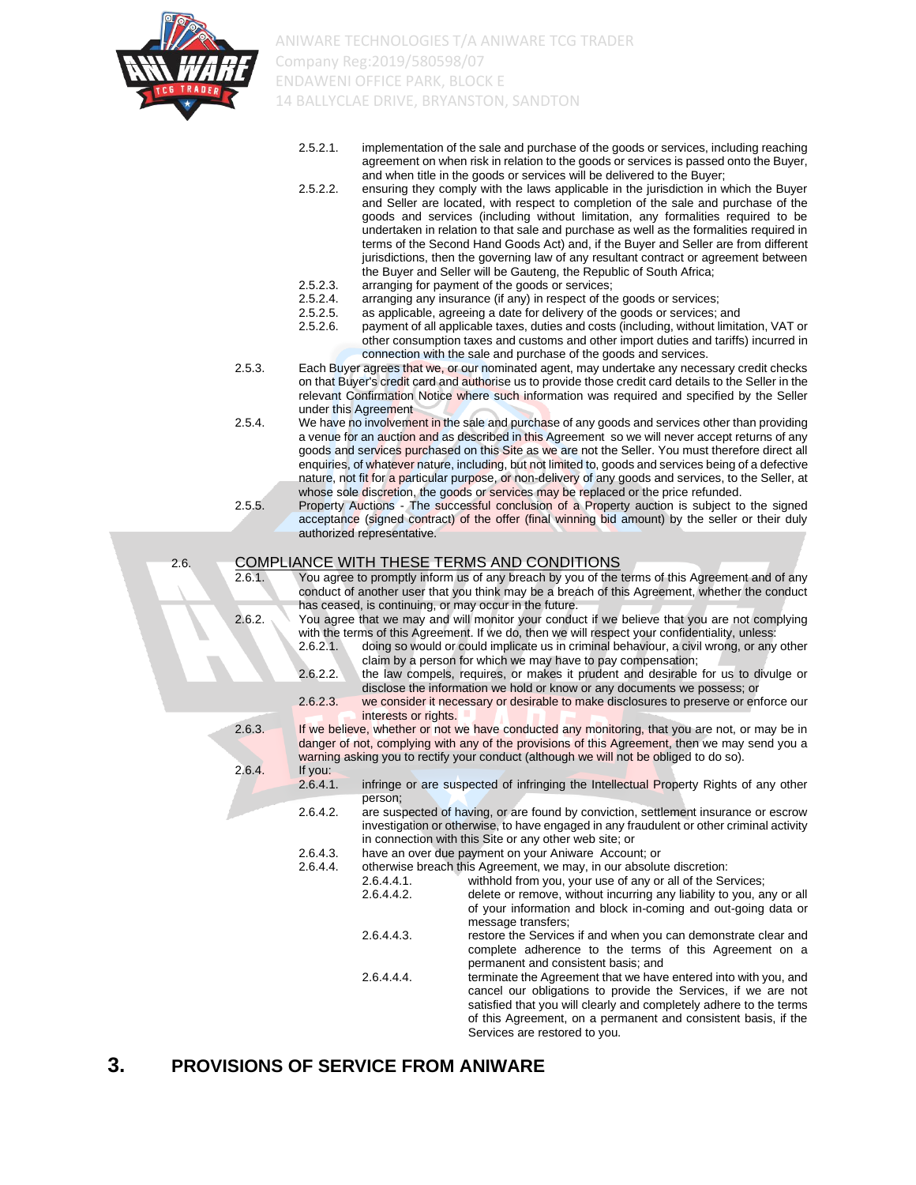

- 2.5.2.1. implementation of the sale and purchase of the goods or services, including reaching agreement on when risk in relation to the goods or services is passed onto the Buyer, and when title in the goods or services will be delivered to the Buyer;
- 2.5.2.2. ensuring they comply with the laws applicable in the jurisdiction in which the Buyer and Seller are located, with respect to completion of the sale and purchase of the goods and services (including without limitation, any formalities required to be undertaken in relation to that sale and purchase as well as the formalities required in terms of the Second Hand Goods Act) and, if the Buyer and Seller are from different jurisdictions, then the governing law of any resultant contract or agreement between the Buyer and Seller will be Gauteng, the Republic of South Africa;
- 2.5.2.3. arranging for payment of the goods or services;<br>2.5.2.4. arranging any insurance (if any) in respect of the
- 2.5.2.4. arranging any insurance (if any) in respect of the goods or services;<br>2.5.2.5. as applicable, agreeing a date for delivery of the goods or services;
- as applicable, agreeing a date for delivery of the goods or services; and
- 2.5.2.6. payment of all applicable taxes, duties and costs (including, without limitation, VAT or other consumption taxes and customs and other import duties and tariffs) incurred in connection with the sale and purchase of the goods and services.
- 2.5.3. Each Buyer agrees that we, or our nominated agent, may undertake any necessary credit checks on that Buyer's credit card and authorise us to provide those credit card details to the Seller in the relevant Confirmation Notice where such information was required and specified by the Seller under this Agreement
- 2.5.4. We have no involvement in the sale and purchase of any goods and services other than providing a venue for an auction and as described in this Agreement so we will never accept returns of any goods and services purchased on this Site as we are not the Seller. You must therefore direct all enquiries, of whatever nature, including, but not limited to, goods and services being of a defective nature, not fit for a particular purpose, or non-delivery of any goods and services, to the Seller, at whose sole discretion, the goods or services may be replaced or the price refunded.

2.5.5. Property Auctions - The successful conclusion of a Property auction is subject to the signed acceptance (signed contract) of the offer (final winning bid amount) by the seller or their duly authorized representative.

#### 2.6. COMPLIANCE WITH THESE TERMS AND CONDITIONS

| 2.6.1. | You agree to promptly inform us of any breach by you of the terms of this Agreement and of any |
|--------|------------------------------------------------------------------------------------------------|
|        | conduct of another user that you think may be a breach of this Agreement, whether the conduct  |
|        | has ceased, is continuing, or may occur in the future.                                         |

- you think may be a breach of this Agreement, whether the conduct may occur in the future. 2.6.2. You agree that we may and will monitor your conduct if we believe that you are not complying
	- with the terms of this Agreement. If we do, then we will respect your confidentiality, unless: 2.6.2.1. doing so would or could implicate us in criminal behaviour, a civil wrong, or any other
	- claim by a person for which we may have to pay compensation; 2.6.2.2. the law compels, requires, or makes it prudent and desirable for us to divulge or
	- disclose the information we hold or know or any documents we possess; or 2.6.2.3. we consider it necessary or desirable to make disclosures to preserve or enforce our
- 

interests or rights. 2.6.3. If we believe, whether or not we have conducted any monitoring, that you are not, or may be in danger of not, complying with any of the provisions of this Agreement, then we may send you a warning asking you to rectify your conduct (although we will not be obliged to do so). 2.6.4. If you:

- 2.6.4.1. infringe or are suspected of infringing the Intellectual Property Rights of any other person;
- 2.6.4.2. are suspected of having, or are found by conviction, settlement insurance or escrow investigation or otherwise, to have engaged in any fraudulent or other criminal activity in connection with this Site or any other web site; or
- 2.6.4.3. have an over due payment on your Aniware Account; or <br>2.6.4.4. otherwise breach this Agreement, we may. in our absolut
	- otherwise breach this Agreement, we may, in our absolute discretion:
		- 2.6.4.4.1. withhold from you, your use of any or all of the Services; 2.6.4.4.2. delete or remove, without incurring any liability to you, any or all of your information and block in-coming and out-going data or message transfers: 2.6.4.4.3. restore the Services if and when you can demonstrate clear and complete adherence to the terms of this Agreement on a permanent and consistent basis; and 2.6.4.4.4. terminate the Agreement that we have entered into with you, and cancel our obligations to provide the Services, if we are not
			- satisfied that you will clearly and completely adhere to the terms of this Agreement, on a permanent and consistent basis, if the Services are restored to you.

#### **3. PROVISIONS OF SERVICE FROM ANIWARE**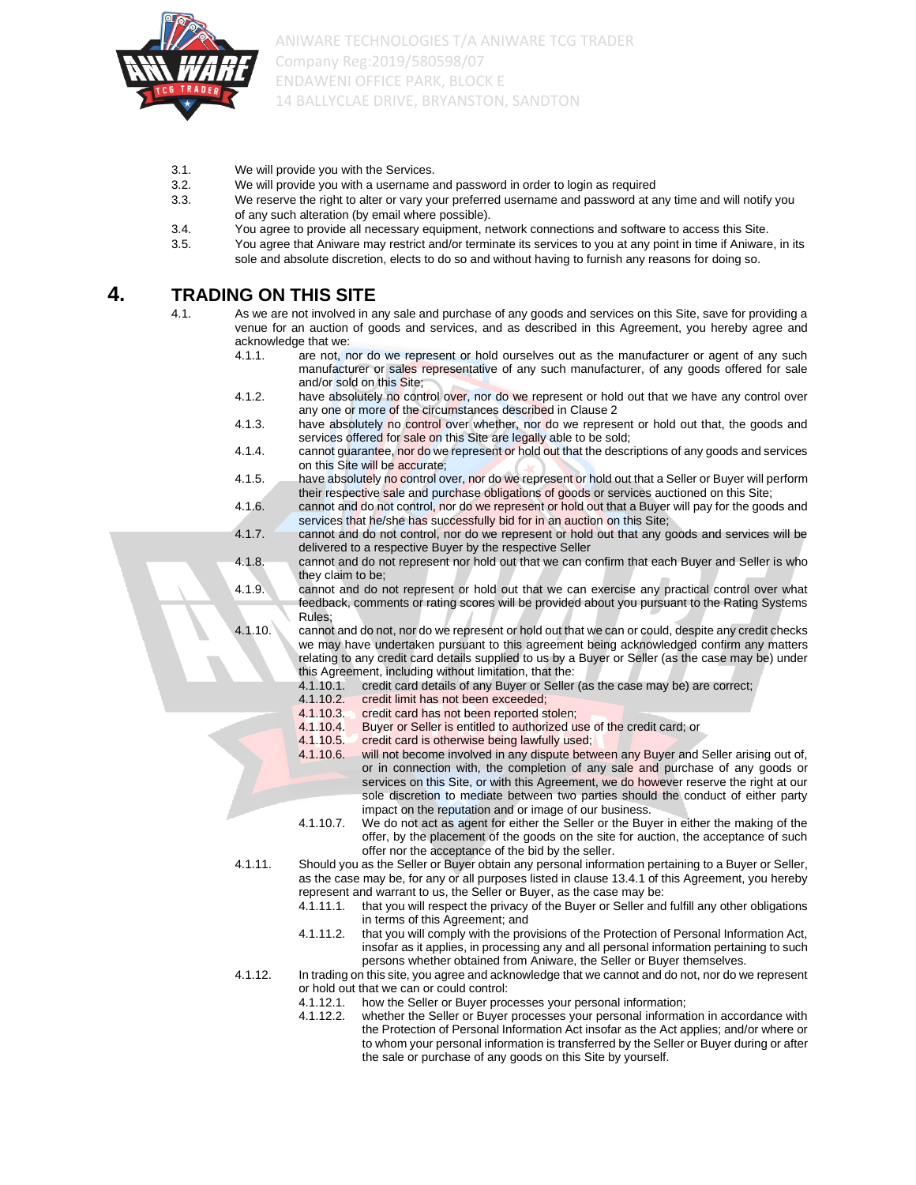

- 3.1. We will provide you with the Services.
- 3.2. We will provide you with a username and password in order to login as required
- 3.3. We reserve the right to alter or vary your preferred username and password at any time and will notify you of any such alteration (by email where possible).
- 3.4. You agree to provide all necessary equipment, network connections and software to access this Site.
- 3.5. You agree that Aniware may restrict and/or terminate its services to you at any point in time if Aniware, in its sole and absolute discretion, elects to do so and without having to furnish any reasons for doing so.

#### **4. TRADING ON THIS SITE**

- 4.1. As we are not involved in any sale and purchase of any goods and services on this Site, save for providing a venue for an auction of goods and services, and as described in this Agreement, you hereby agree and acknowledge that we:<br>4.1.1. are not, n
	- are not, nor do we represent or hold ourselves out as the manufacturer or agent of any such manufacturer or sales representative of any such manufacturer, of any goods offered for sale and/or sold on this Site;
	- 4.1.2. have absolutely no control over, nor do we represent or hold out that we have any control over any one or more of the circumstances described in Clause 2
	- 4.1.3. have absolutely no control over whether, nor do we represent or hold out that, the goods and services offered for sale on this Site are legally able to be sold;
	- 4.1.4. cannot guarantee, nor do we represent or hold out that the descriptions of any goods and services on this Site will be accurate;
	- 4.1.5. have absolutely no control over, nor do we represent or hold out that a Seller or Buyer will perform their respective sale and purchase obligations of goods or services auctioned on this Site;
	- 4.1.6. cannot and do not control, nor do we represent or hold out that a Buyer will pay for the goods and services that he/she has successfully bid for in an auction on this Site;
	- 4.1.7. cannot and do not control, nor do we represent or hold out that any goods and services will be delivered to a respective Buyer by the respective Seller
	- 4.1.8. cannot and do not represent nor hold out that we can confirm that each Buyer and Seller is who they claim to be;
	- 4.1.9. cannot and do not represent or hold out that we can exercise any practical control over what feedback, comments or rating scores will be provided about you pursuant to the Rating Systems Rules;

4.1.10. cannot and do not, nor do we represent or hold out that we can or could, despite any credit checks we may have undertaken pursuant to this agreement being acknowledged confirm any matters relating to any credit card details supplied to us by a Buyer or Seller (as the case may be) under this Agreement, including without limitation, that the:

- 4.1.10.1. credit card details of any Buyer or Seller (as the case may be) are correct;
- 4.1.10.2. credit limit has not been exceeded;
- 4.1.10.3. credit card has not been reported stolen;
- 4.1.10.4. Buyer or Seller is entitled to authorized use of the credit card; or
- 4.1.10.5. credit card is otherwise being lawfully used;
- 4.1.10.6. will not become involved in any dispute between any Buyer and Seller arising out of, or in connection with, the completion of any sale and purchase of any goods or services on this Site, or with this Agreement, we do however reserve the right at our sole discretion to mediate between two parties should the conduct of either party impact on the reputation and or image of our business.
- 4.1.10.7. We do not act as agent for either the Seller or the Buyer in either the making of the offer, by the placement of the goods on the site for auction, the acceptance of such offer nor the acceptance of the bid by the seller.

- 4.1.11. Should you as the Seller or Buyer obtain any personal information pertaining to a Buyer or Seller, as the case may be, for any or all purposes listed in clause 13.4.1 of this Agreement, you hereby represent and warrant to us, the Seller or Buyer, as the case may be:
	- 4.1.11.1. that you will respect the privacy of the Buyer or Seller and fulfill any other obligations in terms of this Agreement; and
	- 4.1.11.2. that you will comply with the provisions of the Protection of Personal Information Act, insofar as it applies, in processing any and all personal information pertaining to such persons whether obtained from Aniware, the Seller or Buyer themselves.
- 
- 4.1.12. In trading on this site, you agree and acknowledge that we cannot and do not, nor do we represent or hold out that we can or could control:
	- 4.1.12.1. how the Seller or Buyer processes your personal information;
	- 4.1.12.2. whether the Seller or Buyer processes your personal information in accordance with the Protection of Personal Information Act insofar as the Act applies; and/or where or to whom your personal information is transferred by the Seller or Buyer during or after the sale or purchase of any goods on this Site by yourself.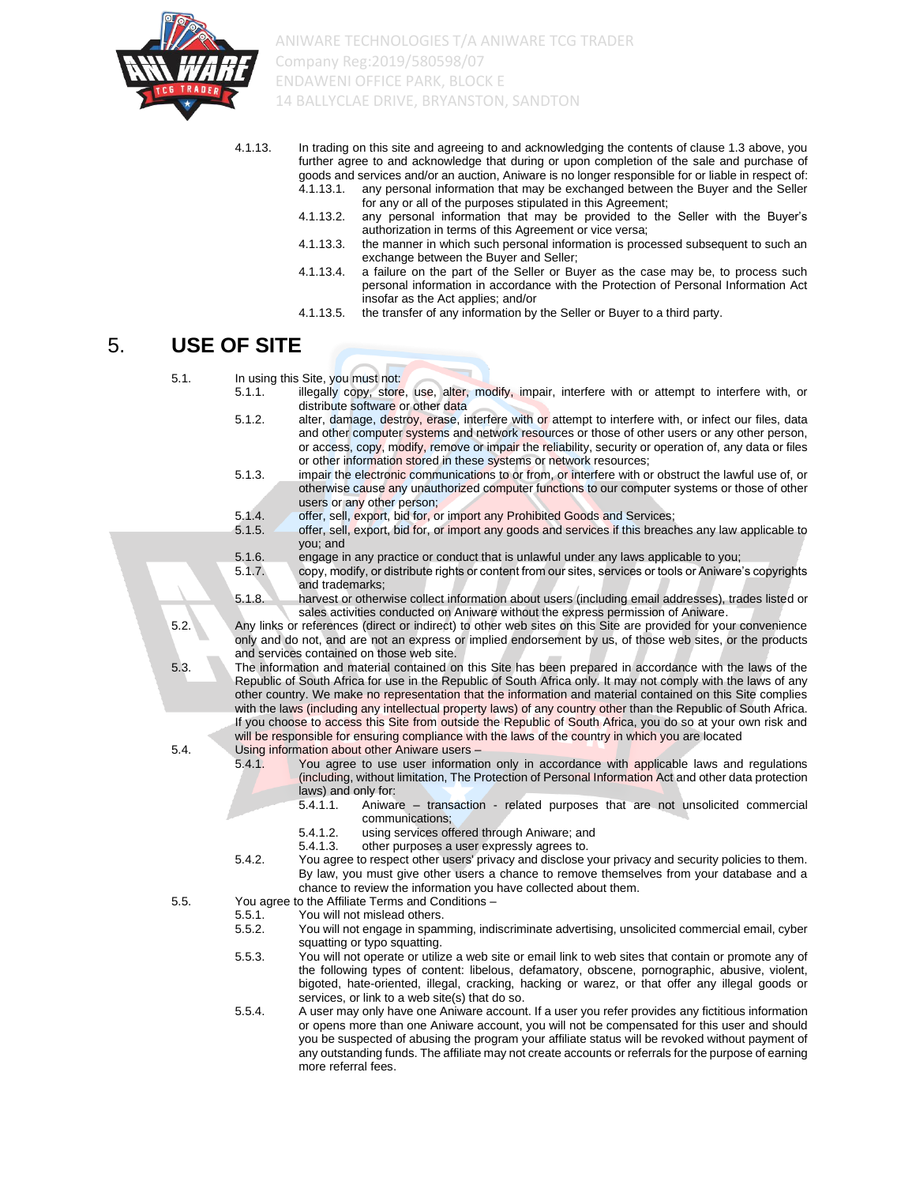

- 4.1.13. In trading on this site and agreeing to and acknowledging the contents of clause 1.3 above, you further agree to and acknowledge that during or upon completion of the sale and purchase of goods and services and/or an auction, Aniware is no longer responsible for or liable in respect of:<br>4.1.13.1. any personal information that may be exchanged between the Buyer and the Seller any personal information that may be exchanged between the Buyer and the Seller
	- for any or all of the purposes stipulated in this Agreement; 4.1.13.2. any personal information that may be provided to the Seller with the Buyer's
	- authorization in terms of this Agreement or vice versa; 4.1.13.3. the manner in which such personal information is processed subsequent to such an
	- exchange between the Buyer and Seller;
	- 4.1.13.4. a failure on the part of the Seller or Buyer as the case may be, to process such personal information in accordance with the Protection of Personal Information Act insofar as the Act applies; and/or
	- 4.1.13.5. the transfer of any information by the Seller or Buyer to a third party.

#### 5. **USE OF SITE**

| 5.1. |        | In using this Site, you must not:                                                                                                                                                                 |
|------|--------|---------------------------------------------------------------------------------------------------------------------------------------------------------------------------------------------------|
|      | 5.1.1. | illegally copy, store, use, alter, modify, impair, interfere with or attempt to interfere with, or                                                                                                |
|      |        | distribute software or other data                                                                                                                                                                 |
|      | 5.1.2. | alter, damage, destroy, erase, interfere with or attempt to interfere with, or infect our files, data                                                                                             |
|      |        | and other computer systems and network resources or those of other users or any other person,                                                                                                     |
|      |        |                                                                                                                                                                                                   |
|      |        | or access, copy, modify, remove or impair the reliability, security or operation of, any data or files                                                                                            |
|      |        | or other information stored in these systems or network resources;                                                                                                                                |
|      | 5.1.3. | impair the electronic communications to or from, or interfere with or obstruct the lawful use of, or                                                                                              |
|      |        | otherwise cause any unauthorized computer functions to our computer systems or those of other                                                                                                     |
|      |        | users or any other person;                                                                                                                                                                        |
|      | 5.1.4. | offer, sell, export, bid for, or import any Prohibited Goods and Services;                                                                                                                        |
|      | 5.1.5. | offer, sell, export, bid for, or import any goods and services if this breaches any law applicable to                                                                                             |
|      |        | you; and                                                                                                                                                                                          |
|      | 5.1.6. | engage in any practice or conduct that is unlawful under any laws applicable to you;                                                                                                              |
|      | 5.1.7. | copy, modify, or distribute rights or content from our sites, services or tools or Aniware's copyrights                                                                                           |
|      |        | and trademarks:                                                                                                                                                                                   |
|      | 5.1.8. | harvest or otherwise collect information about users (including email addresses), trades listed or                                                                                                |
|      |        | sales activities conducted on Aniware without the express permission of Aniware.                                                                                                                  |
| 5.2. |        | Any links or references (direct or indirect) to other web sites on this Site are provided for your convenience                                                                                    |
|      |        | only and do not, and are not an express or implied endorsement by us, of those web sites, or the products                                                                                         |
|      |        | and services contained on those web site.                                                                                                                                                         |
| 5.3. |        | The information and material contained on this Site has been prepared in accordance with the laws of the                                                                                          |
|      |        | Republic of South Africa for use in the Republic of South Africa only. It may not comply with the laws of any                                                                                     |
|      |        | other country. We make no representation that the information and material contained on this Site complies                                                                                        |
|      |        |                                                                                                                                                                                                   |
|      |        | with the laws (including any intellectual property laws) of any country other than the Republic of South Africa.                                                                                  |
|      |        | If you choose to access this Site from outside the Republic of South Africa, you do so at your own risk and                                                                                       |
|      |        | will be responsible for ensuring compliance with the laws of the country in which you are located                                                                                                 |
| 5.4. |        | Using information about other Aniware users -                                                                                                                                                     |
|      | 5.4.1. | You agree to use user information only in accordance with applicable laws and regulations                                                                                                         |
|      |        | (including, without limitation, The Protection of Personal Information Act and other data protection                                                                                              |
|      |        | laws) and only for:                                                                                                                                                                               |
|      |        | 5.4.1.1.<br>Aniware – transaction - related purposes that are not unsolicited commercial                                                                                                          |
|      |        | communications;                                                                                                                                                                                   |
|      |        | 5.4.1.2.<br>using services offered through Aniware; and                                                                                                                                           |
|      |        | 5.4.1.3.<br>other purposes a user expressly agrees to.                                                                                                                                            |
|      | 5.4.2. | You agree to respect other users' privacy and disclose your privacy and security policies to them.                                                                                                |
|      |        | By law, you must give other users a chance to remove themselves from your database and a                                                                                                          |
|      |        | chance to review the information you have collected about them.                                                                                                                                   |
| 5.5. |        | You agree to the Affiliate Terms and Conditions -                                                                                                                                                 |
|      | 5.5.1. | You will not mislead others.                                                                                                                                                                      |
|      | 5.5.2. | You will not engage in spamming, indiscriminate advertising, unsolicited commercial email, cyber                                                                                                  |
|      |        | squatting or typo squatting.                                                                                                                                                                      |
|      | 5.5.3. | You will not operate or utilize a web site or email link to web sites that contain or promote any of                                                                                              |
|      |        | the following types of content: libelous, defamatory, obscene, pornographic, abusive, violent,                                                                                                    |
|      |        | bigoted, hate-oriented, illegal, cracking, hacking or warez, or that offer any illegal goods or                                                                                                   |
|      |        | services, or link to a web site(s) that do so.                                                                                                                                                    |
|      | 5.5.4. |                                                                                                                                                                                                   |
|      |        | A user may only have one Aniware account. If a user you refer provides any fictitious information<br>or opens more than one Aniware account, you will not be compensated for this user and should |
|      |        |                                                                                                                                                                                                   |
|      |        | you be suspected of abusing the program your affiliate status will be revoked without payment of                                                                                                  |
|      |        | any outstanding funds. The affiliate may not create accounts or referrals for the purpose of earning                                                                                              |
|      |        | more referral fees.                                                                                                                                                                               |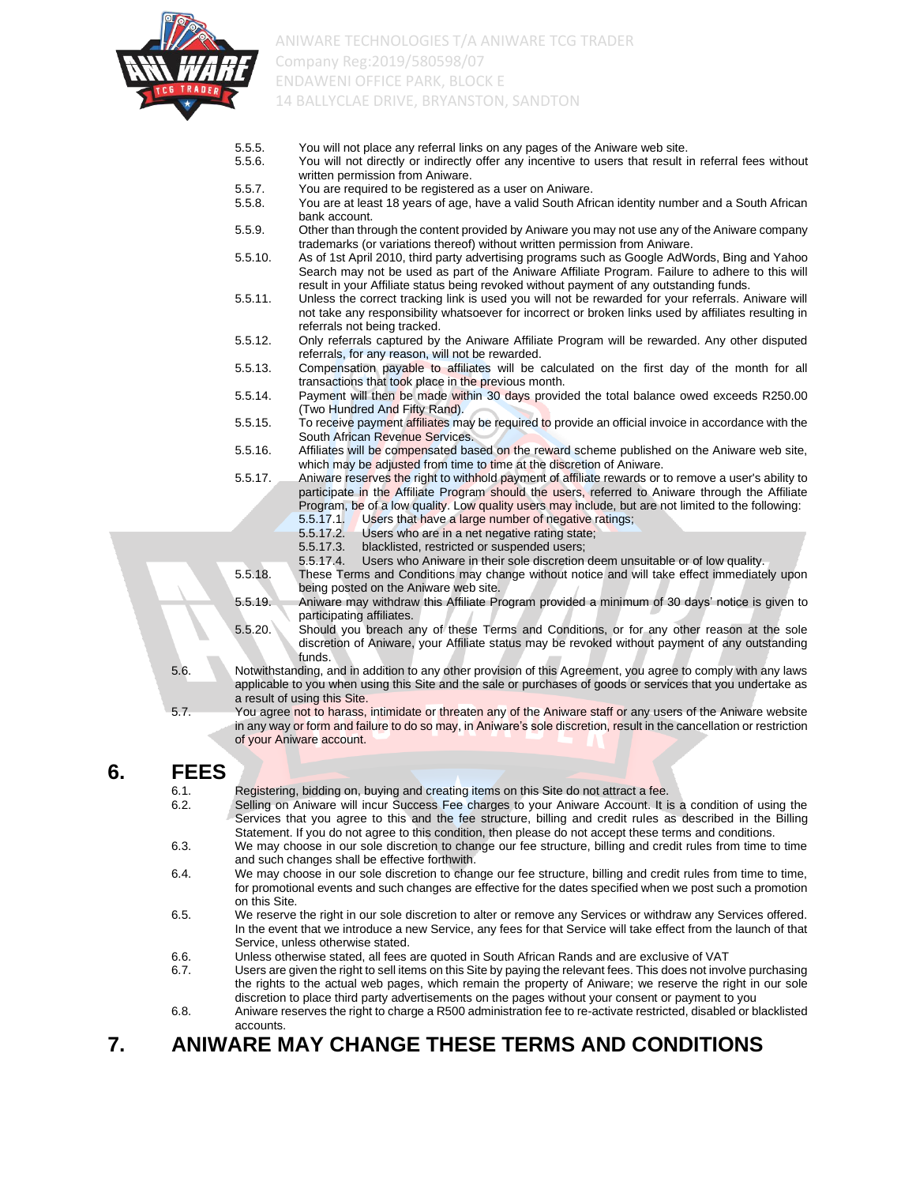

- 5.5.5. You will not place any referral links on any pages of the Aniware web site.
- 5.5.6. You will not directly or indirectly offer any incentive to users that result in referral fees without written permission from Aniware.
- 5.5.7. You are required to be registered as a user on Aniware.
- 5.5.8. You are at least 18 years of age, have a valid South African identity number and a South African bank account.
- 5.5.9. Other than through the content provided by Aniware you may not use any of the Aniware company trademarks (or variations thereof) without written permission from Aniware.
- 5.5.10. As of 1st April 2010, third party advertising programs such as Google AdWords, Bing and Yahoo Search may not be used as part of the Aniware Affiliate Program. Failure to adhere to this will result in your Affiliate status being revoked without payment of any outstanding funds.
- 5.5.11. Unless the correct tracking link is used you will not be rewarded for your referrals. Aniware will not take any responsibility whatsoever for incorrect or broken links used by affiliates resulting in referrals not being tracked.
- 5.5.12. Only referrals captured by the Aniware Affiliate Program will be rewarded. Any other disputed referrals, for any reason, will not be rewarded.
- 5.5.13. Compensation payable to affiliates will be calculated on the first day of the month for all transactions that took place in the previous month.
- 5.5.14. Payment will then be made within 30 days provided the total balance owed exceeds R250.00 (Two Hundred And Fifty Rand).
- 5.5.15. To receive payment affiliates may be required to provide an official invoice in accordance with the South African Revenue Services.
- 5.5.16. Affiliates will be compensated based on the reward scheme published on the Aniware web site, which may be adjusted from time to time at the discretion of Aniware.
- 5.5.17. Aniware reserves the right to withhold payment of affiliate rewards or to remove a user's ability to participate in the Affiliate Program should the users, referred to Aniware through the Affiliate Program, be of a low quality. Low quality users may include, but are not limited to the following:
	- 5.5.17.1. Users that have a large number of negative ratings;
	- 5.5.17.2. Users who are in a net negative rating state;
	- 5.5.17.3. blacklisted, restricted or suspended users;
	- 5.5.17.4. Users who Aniware in their sole discretion deem unsuitable or of low quality.
- 5.5.18. These Terms and Conditions may change without notice and will take effect immediately upon being posted on the Aniware web site.
- 5.5.19. Aniware may withdraw this Affiliate Program provided a minimum of 30 days' notice is given to participating affiliates.
- 5.5.20. Should you breach any of these Terms and Conditions, or for any other reason at the sole discretion of Aniware, your Affiliate status may be revoked without payment of any outstanding funds.
- 5.6. Notwithstanding, and in addition to any other provision of this Agreement, you agree to comply with any laws applicable to you when using this Site and the sale or purchases of goods or services that you undertake as a result of using this Site.
- 5.7. You agree not to harass, intimidate or threaten any of the Aniware staff or any users of the Aniware website in any way or form and failure to do so may, in Aniware's sole discretion, result in the cancellation or restriction of your Aniware account.

#### **6. FEES**

- 6.1. Registering, bidding on, buying and creating items on this Site do not attract a fee.
- 6.2. Selling on Aniware will incur Success Fee charges to your Aniware Account. It is a condition of using the Services that you agree to this and the fee structure, billing and credit rules as described in the Billing Statement. If you do not agree to this condition, then please do not accept these terms and conditions.
- 6.3. We may choose in our sole discretion to change our fee structure, billing and credit rules from time to time and such changes shall be effective forthwith.
- 6.4. We may choose in our sole discretion to change our fee structure, billing and credit rules from time to time, for promotional events and such changes are effective for the dates specified when we post such a promotion on this Site.
- 6.5. We reserve the right in our sole discretion to alter or remove any Services or withdraw any Services offered. In the event that we introduce a new Service, any fees for that Service will take effect from the launch of that Service, unless otherwise stated.
- 6.6. Unless otherwise stated, all fees are quoted in South African Rands and are exclusive of VAT
- 6.7. Users are given the right to sell items on this Site by paying the relevant fees. This does not involve purchasing the rights to the actual web pages, which remain the property of Aniware; we reserve the right in our sole discretion to place third party advertisements on the pages without your consent or payment to you
- 6.8. Aniware reserves the right to charge a R500 administration fee to re-activate restricted, disabled or blacklisted accounts.

## **7. ANIWARE MAY CHANGE THESE TERMS AND CONDITIONS**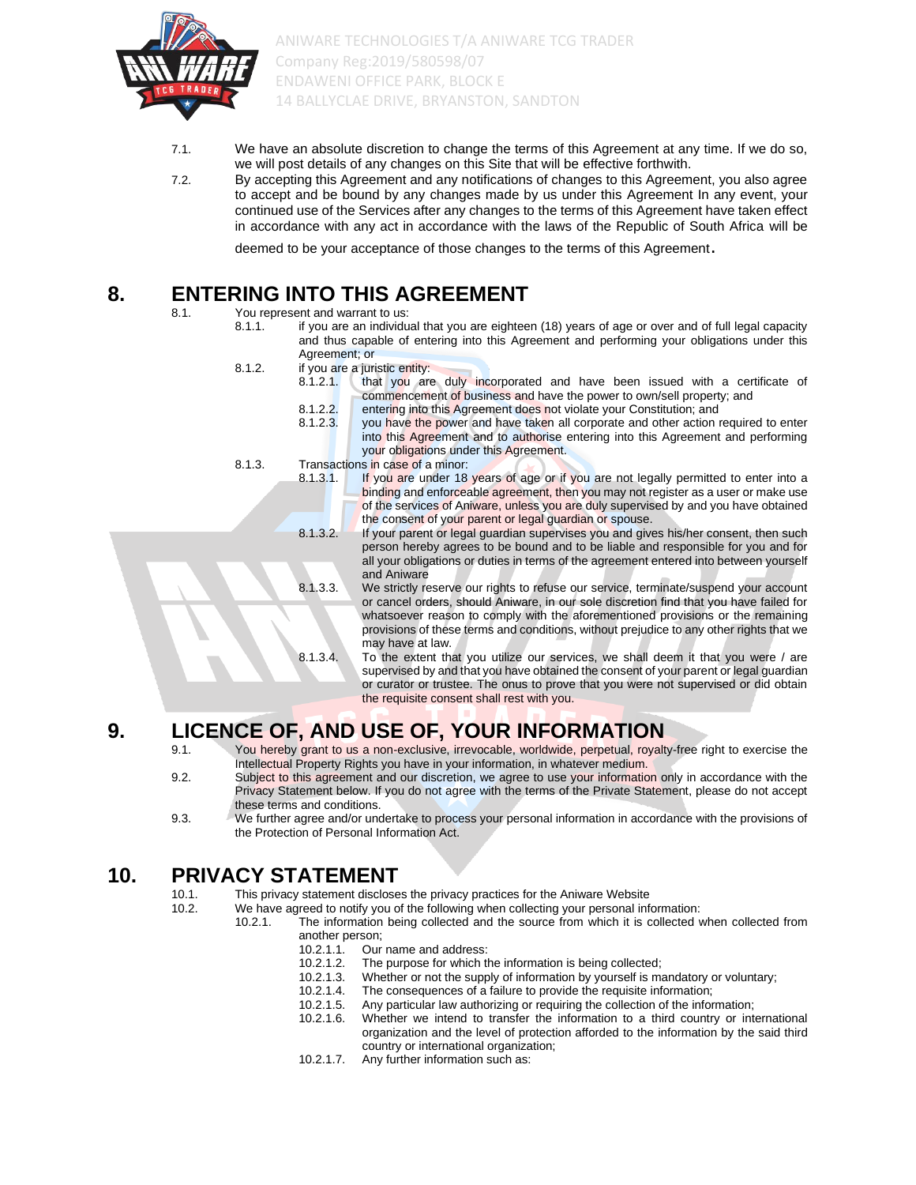

- 7.1. We have an absolute discretion to change the terms of this Agreement at any time. If we do so, we will post details of any changes on this Site that will be effective forthwith.
- 7.2. By accepting this Agreement and any notifications of changes to this Agreement, you also agree to accept and be bound by any changes made by us under this Agreement In any event, your continued use of the Services after any changes to the terms of this Agreement have taken effect in accordance with any act in accordance with the laws of the Republic of South Africa will be

deemed to be your acceptance of those changes to the terms of this Agreement.

#### **8. ENTERING INTO THIS AGREEMENT**

8.1. You represent and warrant to us:

- 8.1.1. if you are an individual that you are eighteen (18) years of age or over and of full legal capacity and thus capable of entering into this Agreement and performing your obligations under this Agreement; or
	- 8.1.2. if you are a juristic entity:
		- 8.1.2.1. that you are duly incorporated and have been issued with a certificate of commencement of business and have the power to own/sell property; and 8.1.2.2. entering into this Agreement does not violate your Constitution; and 8.1.2.3. vou have the power and have taken all corporate and other action in you have the power and have taken all corporate and other action required to enter
			- into this Agreement and to authorise entering into this Agreement and performing your obligations under this Agreement.
	- 8.1.3. Transactions in case of a minor:
		- 8.1.3.1. If you are under 18 years of age or if you are not legally permitted to enter into a binding and enforceable agreement, then you may not register as a user or make use of the services of Aniware, unless you are duly supervised by and you have obtained the consent of your parent or legal guardian or spouse.
		- 8.1.3.2. If your parent or legal guardian supervises you and gives his/her consent, then such person hereby agrees to be bound and to be liable and responsible for you and for all your obligations or duties in terms of the agreement entered into between yourself and Aniware
		- 8.1.3.3. We strictly reserve our rights to refuse our service, terminate/suspend your account or cancel orders, should Aniware, in our sole discretion find that you have failed for whatsoever reason to comply with the aforementioned provisions or the remaining provisions of these terms and conditions, without prejudice to any other rights that we may have at law.
		- 8.1.3.4. To the extent that you utilize our services, we shall deem it that you were / are supervised by and that you have obtained the consent of your parent or legal guardian or curator or trustee. The onus to prove that you were not supervised or did obtain the requisite consent shall rest with you.

## **9.** LICENCE OF, AND USE OF, YOUR INFORMATION<br> **9.1.** You hereby grant to us a non-exclusive, irrevocable, worldwide, perpetual, royal

- You hereby grant to us a non-exclusive, irrevocable, worldwide, perpetual, royalty-free right to exercise the Intellectual Property Rights you have in your information, in whatever medium.
- 9.2. Subject to this agreement and our discretion, we agree to use your information only in accordance with the Privacy Statement below. If you do not agree with the terms of the Private Statement, please do not accept these terms and conditions.
- 9.3. We further agree and/or undertake to process your personal information in accordance with the provisions of the Protection of Personal Information Act.

## **10. PRIVACY STATEMENT**

10.1. This privacy statement discloses the privacy practices for the Aniware Website

- 10.2. We have agreed to notify you of the following when collecting your personal information:<br>10.2.1 The information being collected and the source from which it is collected.
	- The information being collected and the source from which it is collected when collected from another person;
		-
		- 10.2.1.1. Our name and address:<br>10.2.1.2. The purpose for which t
		- 10.2.1.2. The purpose for which the information is being collected;<br>10.2.1.3. Whether or not the supply of information by yourself is m Whether or not the supply of information by yourself is mandatory or voluntary;
		- 10.2.1.4. The consequences of a failure to provide the requisite information;<br>10.2.1.5. Any particular law authorizing or requiring the collection of the infor
		- 10.2.1.5. Any particular law authorizing or requiring the collection of the information;
		- Whether we intend to transfer the information to a third country or international organization and the level of protection afforded to the information by the said third country or international organization;
		- 10.2.1.7. Any further information such as: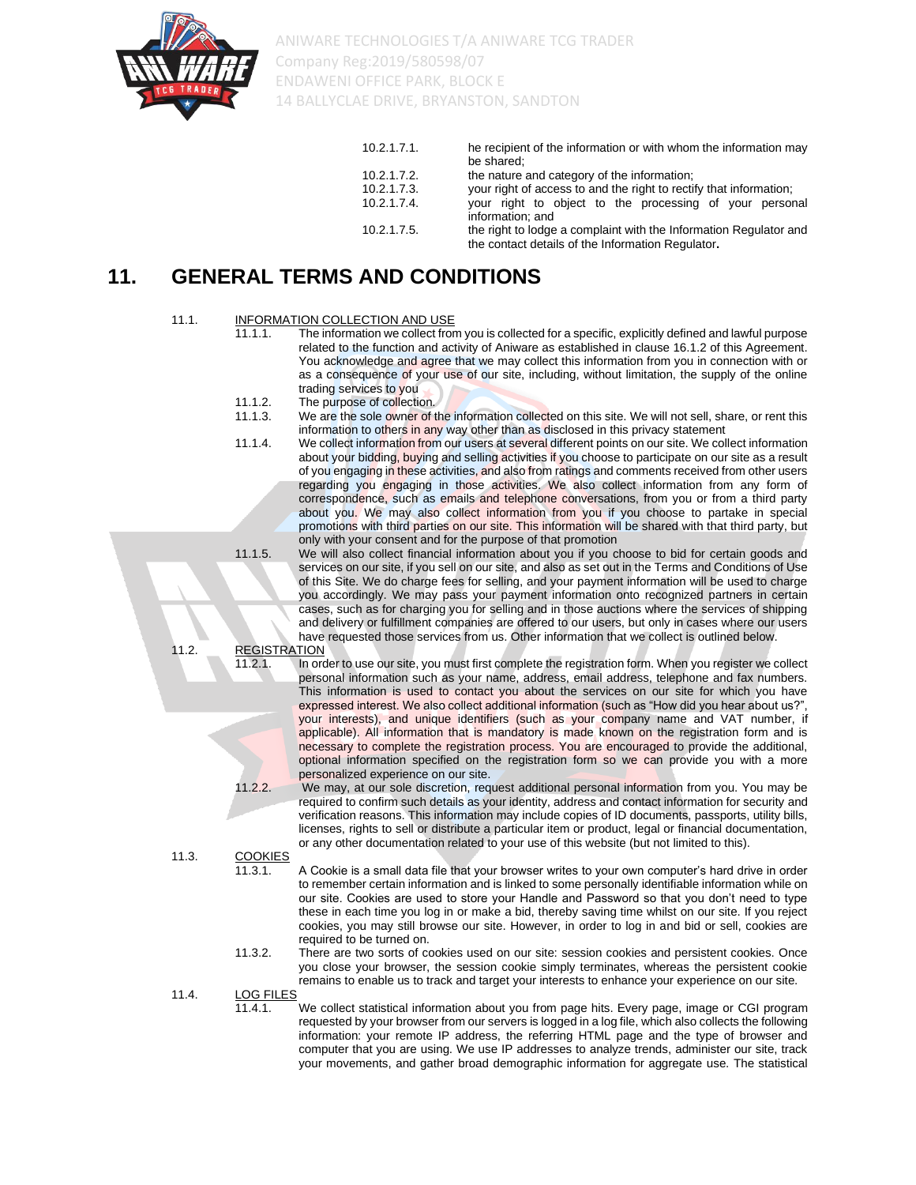

| 10.2.1.7.1.    | he recipient of the information or with whom the information may<br>be shared:                                         |
|----------------|------------------------------------------------------------------------------------------------------------------------|
| 10.2.1.7.2.    | the nature and category of the information;                                                                            |
| 10.2.1.7.3.    | your right of access to and the right to rectify that information;                                                     |
| $10.2.1.7.4$ . | your right to object to the processing of your personal<br>information: and                                            |
| 10.2.1.7.5.    | the right to lodge a complaint with the Information Regulator and<br>the contact details of the Information Regulator. |

## **11. GENERAL TERMS AND CONDITIONS**

## 11.1. **INFORMATION COLLECTION AND USE**<br>11.1.1. The information we collect from

- The information we collect from you is collected for a specific, explicitly defined and lawful purpose related to the function and activity of Aniware as established in clause 16.1.2 of this Agreement. You acknowledge and agree that we may collect this information from you in connection with or as a consequence of your use of our site, including, without limitation, the supply of the online trading services to you
- 11.1.2. The purpose of collection.
- 11.1.3. We are the sole owner of the information collected on this site. We will not sell, share, or rent this information to others in any way other than as disclosed in this privacy statement
- 11.1.4. We collect information from our users at several different points on our site. We collect information about your bidding, buying and selling activities if you choose to participate on our site as a result of you engaging in these activities, and also from ratings and comments received from other users regarding you engaging in those activities. We also collect information from any form of correspondence, such as emails and telephone conversations, from you or from a third party about you. We may also collect information from you if you choose to partake in special promotions with third parties on our site. This information will be shared with that third party, but only with your consent and for the purpose of that promotion

11.1.5. We will also collect financial information about you if you choose to bid for certain goods and services on our site, if you sell on our site, and also as set out in the Terms and Conditions of Use of this Site. We do charge fees for selling, and your payment information will be used to charge you accordingly. We may pass your payment information onto recognized partners in certain cases, such as for charging you for selling and in those auctions where the services of shipping and delivery or fulfillment companies are offered to our users, but only in cases where our users have requested those services from us. Other information that we collect is outlined below.

## 11.2. REGISTRATION<br>11.2.1. In ord

In order to use our site, you must first complete the registration form. When you register we collect personal information such as your name, address, email address, telephone and fax numbers. This information is used to contact you about the services on our site for which you have expressed interest. We also collect additional information (such as "How did you hear about us?", your interests), and unique identifiers (such as your company name and VAT number, if applicable). All information that is mandatory is made known on the registration form and is necessary to complete the registration process. You are encouraged to provide the additional, optional information specified on the registration form so we can provide you with a more personalized experience on our site.

11.2.2. We may, at our sole discretion, request additional personal information from you. You may be required to confirm such details as your identity, address and contact information for security and verification reasons. This information may include copies of ID documents, passports, utility bills, licenses, rights to sell or distribute a particular item or product, legal or financial documentation, or any other documentation related to your use of this website (but not limited to this).

11.3. COOKIES<br>11.3.1.

A Cookie is a small data file that your browser writes to your own computer's hard drive in order to remember certain information and is linked to some personally identifiable information while on our site. Cookies are used to store your Handle and Password so that you don't need to type these in each time you log in or make a bid, thereby saving time whilst on our site. If you reject cookies, you may still browse our site. However, in order to log in and bid or sell, cookies are required to be turned on.

11.3.2. There are two sorts of cookies used on our site: session cookies and persistent cookies. Once you close your browser, the session cookie simply terminates, whereas the persistent cookie remains to enable us to track and target your interests to enhance your experience on our site.

11.4. LOG FILES

11.4.1. We collect statistical information about you from page hits. Every page, image or CGI program requested by your browser from our servers is logged in a log file, which also collects the following information: your remote IP address, the referring HTML page and the type of browser and computer that you are using. We use IP addresses to analyze trends, administer our site, track your movements, and gather broad demographic information for aggregate use. The statistical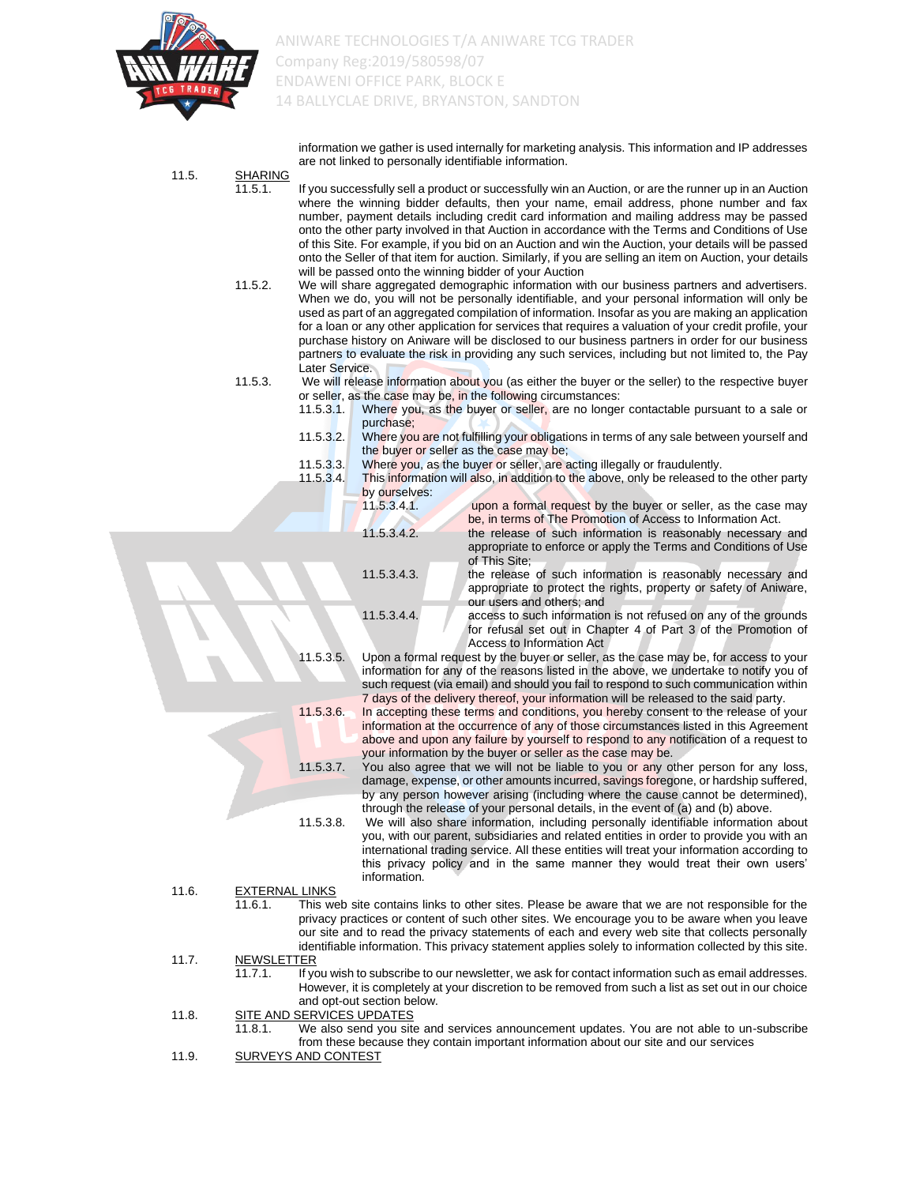

information we gather is used internally for marketing analysis. This information and IP addresses are not linked to personally identifiable information.

- 11.5. SHARING<br>11.5.1. If you successfully sell a product or successfully win an Auction, or are the runner up in an Auction where the winning bidder defaults, then your name, email address, phone number and fax number, payment details including credit card information and mailing address may be passed onto the other party involved in that Auction in accordance with the Terms and Conditions of Use of this Site. For example, if you bid on an Auction and win the Auction, your details will be passed onto the Seller of that item for auction. Similarly, if you are selling an item on Auction, your details will be passed onto the winning bidder of your Auction 11.5.2. We will share aggregated demographic information with our business partners and advertisers. When we do, you will not be personally identifiable, and your personal information will only be used as part of an aggregated compilation of information. Insofar as you are making an application for a loan or any other application for services that requires a valuation of your credit profile, your purchase history on Aniware will be disclosed to our business partners in order for our business partners to evaluate the risk in providing any such services, including but not limited to, the Pay Later Service. 11.5.3. We will release information about you (as either the buyer or the seller) to the respective buyer or seller, as the case may be, in the following circumstances: 11.5.3.1. Where you, as the buyer or seller, are no longer contactable pursuant to a sale or purchase;
	- 11.5.3.2. Where you are not fulfilling your obligations in terms of any sale between yourself and the buyer or seller as the case may be;
	- 11.5.3.3. Where you, as the buyer or seller, are acting illegally or fraudulently.
	- 11.5.3.4. This information will also, in addition to the above, only be released to the other party by ourselves:

| upon a formal request by the buyer or seller, as the case may     |
|-------------------------------------------------------------------|
| be, in terms of The Promotion of Access to Information Act.       |
| the release of such information is reasonably necessary and       |
| appropriate to enforce or apply the Terms and Conditions of Use   |
| of This Site:                                                     |
| the release of such information is reasonably necessary and       |
| appropriate to protect the rights, property or safety of Aniware, |
| our users and others; and                                         |
| access to such information is not refused on any of the grounds   |
| for refusal set out in Chapter 4 of Part 3 of the Promotion of    |
|                                                                   |

Access to Information Act 11.5.3.5. Upon a formal request by the buyer or seller, as the case may be, for access to your information for any of the reasons listed in the above, we undertake to notify you of such request (via email) and should you fail to respond to such communication within 7 days of the delivery thereof, your information will be released to the said party.

11.5.3.6. In accepting these terms and conditions, you hereby consent to the release of your information at the occurrence of any of those circumstances listed in this Agreement above and upon any failure by yourself to respond to any notification of a request to your information by the buyer or seller as the case may be.

11.5.3.7. You also agree that we will not be liable to you or any other person for any loss, damage, expense, or other amounts incurred, savings foregone, or hardship suffered, by any person however arising (including where the cause cannot be determined), through the release of your personal details, in the event of (a) and (b) above.

11.5.3.8. We will also share information, including personally identifiable information about you, with our parent, subsidiaries and related entities in order to provide you with an international trading service. All these entities will treat your information according to this privacy policy and in the same manner they would treat their own users' information.

11.6. EXTERNAL LINKS

11.6.1. This web site contains links to other sites. Please be aware that we are not responsible for the privacy practices or content of such other sites. We encourage you to be aware when you leave our site and to read the privacy statements of each and every web site that collects personally identifiable information. This privacy statement applies solely to information collected by this site.

11.7. NEWSLETTER

If you wish to subscribe to our newsletter, we ask for contact information such as email addresses. However, it is completely at your discretion to be removed from such a list as set out in our choice and opt-out section below.

- 11.8. SITE AND SERVICES UPDATES
	- We also send you site and services announcement updates. You are not able to un-subscribe from these because they contain important information about our site and our services
- 11.9. SURVEYS AND CONTEST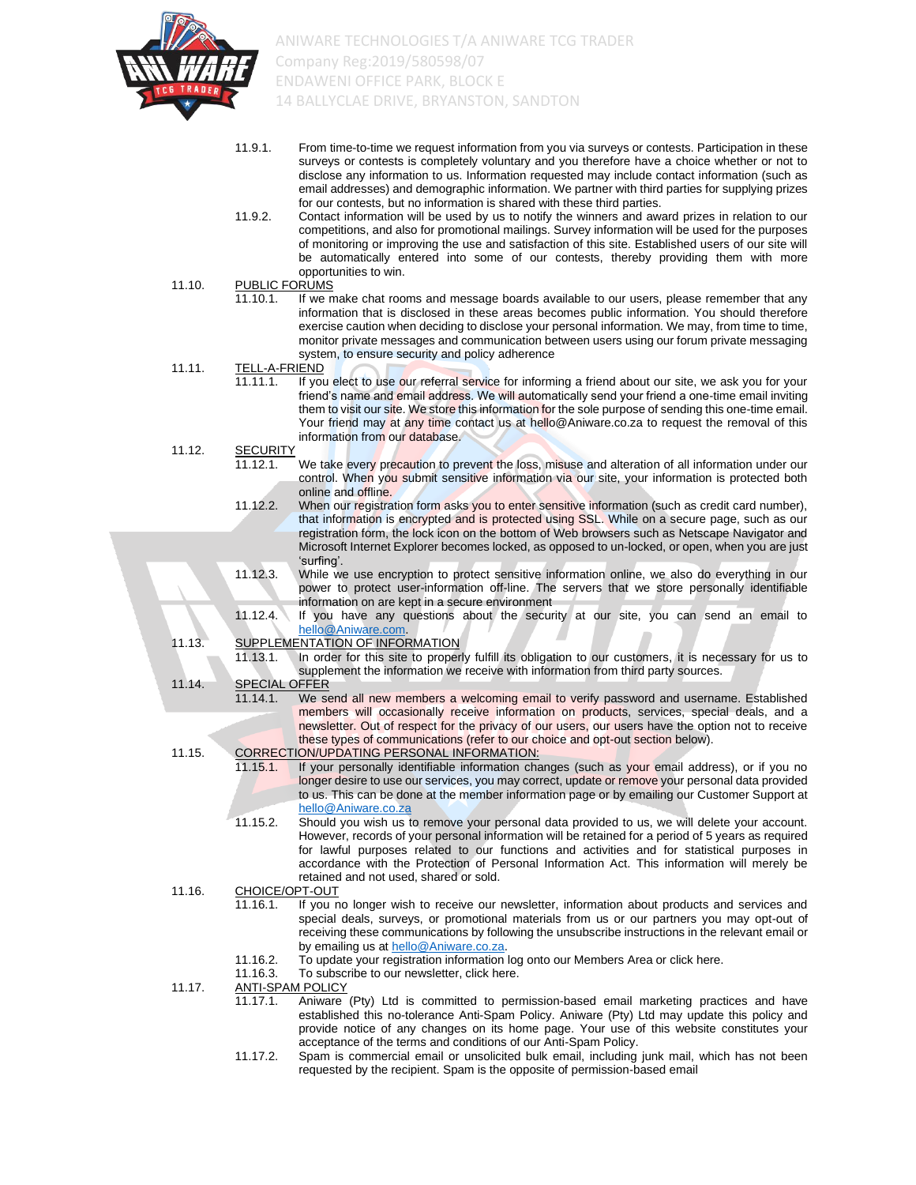

- 11.9.1. From time-to-time we request information from you via surveys or contests. Participation in these surveys or contests is completely voluntary and you therefore have a choice whether or not to disclose any information to us. Information requested may include contact information (such as email addresses) and demographic information. We partner with third parties for supplying prizes for our contests, but no information is shared with these third parties.
- 11.9.2. Contact information will be used by us to notify the winners and award prizes in relation to our competitions, and also for promotional mailings. Survey information will be used for the purposes of monitoring or improving the use and satisfaction of this site. Established users of our site will be automatically entered into some of our contests, thereby providing them with more opportunities to win.
- 11.10. PUBLIC FORUMS 11.10.1. If we make chat rooms and message boards available to our users, please remember that any information that is disclosed in these areas becomes public information. You should therefore exercise caution when deciding to disclose your personal information. We may, from time to time, monitor private messages and communication between users using our forum private messaging system, to ensure security and policy adherence 11.11. TELL-A-FRIEND 11.11.1. If you elect to use our referral service for informing a friend about our site, we ask you for your friend's name and email address. We will automatically send your friend a one-time email inviting them to visit our site. We store this information for the sole purpose of sending this one-time email. Your friend may at any time contact us at hello@Aniware.co.za to request the removal of this information from our database. 11.12. SECURITY 11.12.1. We take every precaution to prevent the loss, misuse and alteration of all information under our control. When you submit sensitive information via our site, your information is protected both online and offline. 11.12.2. When our registration form asks you to enter sensitive information (such as credit card number), that information is encrypted and is protected using SSL. While on a secure page, such as our registration form, the lock icon on the bottom of Web browsers such as Netscape Navigator and Microsoft Internet Explorer becomes locked, as opposed to un-locked, or open, when you are just 'surfing'. 11.12.3. While we use encryption to protect sensitive information online, we also do everything in our power to protect user-information off-line. The servers that we store personally identifiable information on are kept in a secure environment 11.12.4. If you have any questions about the security at our site, you can send an email to [hello@Aniware.com.](mailto:hello@Aniware.com) 11.13. SUPPLEMENTATION OF INFORMATION<br>11.13.1. In order for this site to proper In order for this site to properly fulfill its obligation to our customers, it is necessary for us to supplement the information we receive with information from third party sources. 11.14. SPECIAL OFFER 11.14.1. We send all new members a welcoming email to verify password and username. Established members will occasionally receive information on products, services, special deals, and a newsletter. Out of respect for the privacy of our users, our users have the option not to receive these types of communications (refer to our choice and opt-out section below). 11.15. CORRECTION/UPDATING PERSONAL INFORMATION:<br>11.15.1. If your personally identifiable information cha If your personally identifiable information changes (such as your email address), or if you no longer desire to use our services, you may correct, update or remove your personal data provided to us. This can be done at the member information page or by emailing our Customer Support at [hello@Aniware.co.za](mailto:hello@Aniware.co.za) 11.15.2. Should you wish us to remove your personal data provided to us, we will delete your account. However, records of your personal information will be retained for a period of 5 years as required for lawful purposes related to our functions and activities and for statistical purposes in accordance with the Protection of Personal Information Act. This information will merely be retained and not used, shared or sold. 11.16. CHOICE/OPT-OUT 11.16.1. If you no longer wish to receive our newsletter, information about products and services and special deals, surveys, or promotional materials from us or our partners you may opt-out of receiving these communications by following the unsubscribe instructions in the relevant email or by emailing us at [hello@Aniware.co.za.](mailto:hello@Aniware.co.za) 11.16.2. To update your registration information log onto our Members Area or click here.<br>11.16.3. To subscribe to our newsletter, click here
	- To subscribe to our newsletter, click here.
	- 11.17. ANTI-SPAM POLICY
		- 11.17.1. Aniware (Pty) Ltd is committed to permission-based email marketing practices and have established this no-tolerance Anti-Spam Policy. Aniware (Pty) Ltd may update this policy and provide notice of any changes on its home page. Your use of this website constitutes your acceptance of the terms and conditions of our Anti-Spam Policy.
		- 11.17.2. Spam is commercial email or unsolicited bulk email, including junk mail, which has not been requested by the recipient. Spam is the opposite of permission-based email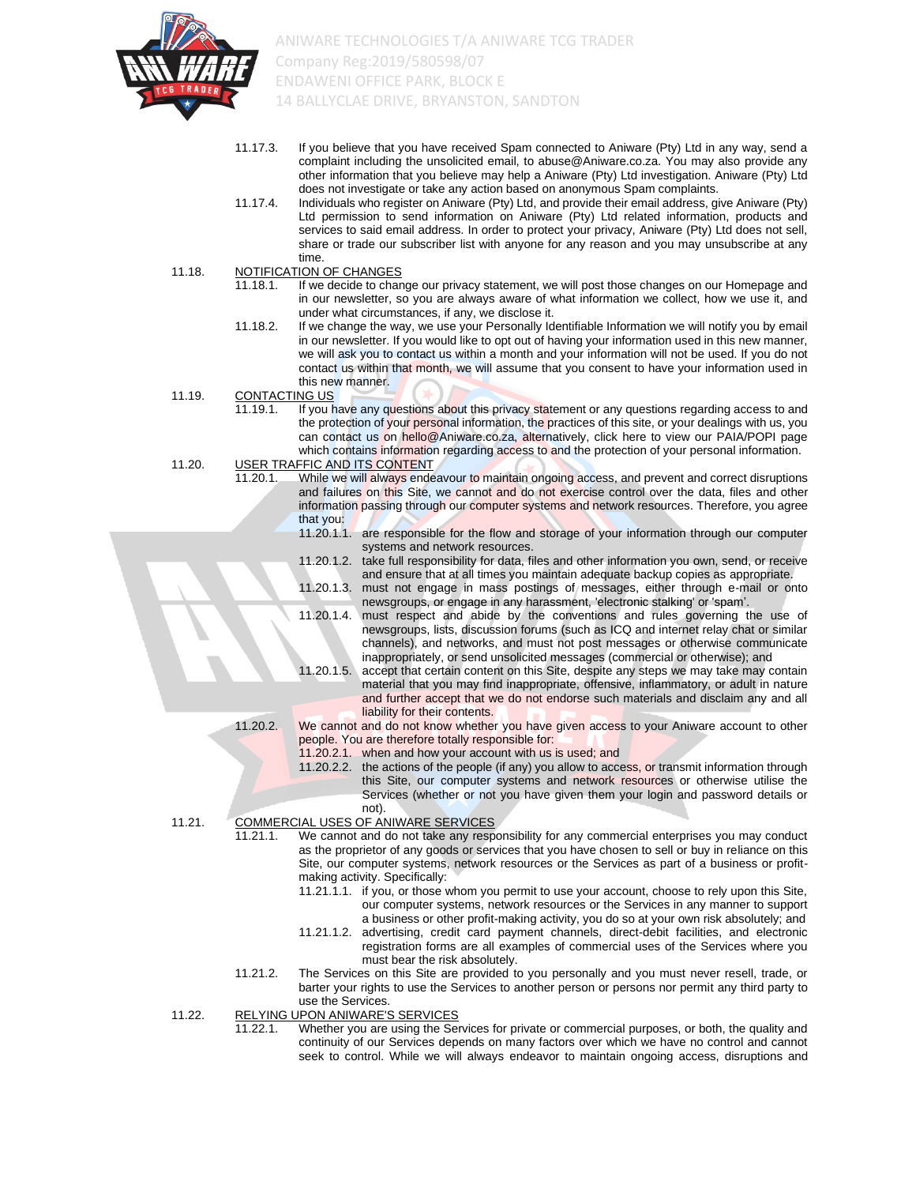

- 11.17.3. If you believe that you have received Spam connected to Aniware (Pty) Ltd in any way, send a complaint including the unsolicited email, to abuse@Aniware.co.za. You may also provide any other information that you believe may help a Aniware (Pty) Ltd investigation. Aniware (Pty) Ltd does not investigate or take any action based on anonymous Spam complaints.
- 11.17.4. Individuals who register on Aniware (Pty) Ltd, and provide their email address, give Aniware (Pty) Ltd permission to send information on Aniware (Pty) Ltd related information, products and services to said email address. In order to protect your privacy, Aniware (Pty) Ltd does not sell, share or trade our subscriber list with anyone for any reason and you may unsubscribe at any time.
- 11.18. NOTIFICATION OF CHANGES
	- 11.18.1. If we decide to change our privacy statement, we will post those changes on our Homepage and in our newsletter, so you are always aware of what information we collect, how we use it, and under what circumstances, if any, we disclose it.
	- 11.18.2. If we change the way, we use your Personally Identifiable Information we will notify you by email in our newsletter. If you would like to opt out of having your information used in this new manner, we will ask you to contact us within a month and your information will not be used. If you do not contact us within that month, we will assume that you consent to have your information used in this new manner.
- 11.19. CONTACTING US
	- 11.19.1. If you have any questions about this privacy statement or any questions regarding access to and the protection of your personal information, the practices of this site, or your dealings with us, you can contact us on hello@Aniware.co.za, alternatively, click here to view our PAIA/POPI page which contains information regarding access to and the protection of your personal information.
- 11.20. USER TRAFFIC AND ITS CONTENT
	- 11.20.1. While we will always endeavour to maintain ongoing access, and prevent and correct disruptions and failures on this Site, we cannot and do not exercise control over the data, files and other information passing through our computer systems and network resources. Therefore, you agree that you:
		- 11.20.1.1. are responsible for the flow and storage of your information through our computer systems and network resources.
		- 11.20.1.2. take full responsibility for data, files and other information you own, send, or receive and ensure that at all times you maintain adequate backup copies as appropriate.
		- 11.20.1.3. must not engage in mass postings of messages, either through e-mail or onto newsgroups, or engage in any harassment, 'electronic stalking' or 'spam'.
		- 11.20.1.4. must respect and abide by the conventions and rules governing the use of newsgroups, lists, discussion forums (such as ICQ and internet relay chat or similar channels), and networks, and must not post messages or otherwise communicate inappropriately, or send unsolicited messages (commercial or otherwise); and
		- 11.20.1.5. accept that certain content on this Site, despite any steps we may take may contain material that you may find inappropriate, offensive, inflammatory, or adult in nature and further accept that we do not endorse such materials and disclaim any and all liability for their contents.
	- - 11.20.2. We cannot and do not know whether you have given access to your Aniware account to other people. You are therefore totally responsible for:
			- 11.20.2.1. when and how your account with us is used; and
				- 11.20.2.2. the actions of the people (if any) you allow to access, or transmit information through this Site, our computer systems and network resources or otherwise utilise the Services (whether or not you have given them your login and password details or not).
- 11.21. COMMERCIAL USES OF ANIWARE SERVICES
	- 11.21.1. We cannot and do not take any responsibility for any commercial enterprises you may conduct as the proprietor of any goods or services that you have chosen to sell or buy in reliance on this Site, our computer systems, network resources or the Services as part of a business or profitmaking activity. Specifically:
		- 11.21.1.1. if you, or those whom you permit to use your account, choose to rely upon this Site, our computer systems, network resources or the Services in any manner to support a business or other profit-making activity, you do so at your own risk absolutely; and
		- 11.21.1.2. advertising, credit card payment channels, direct-debit facilities, and electronic registration forms are all examples of commercial uses of the Services where you must bear the risk absolutely.
	- 11.21.2. The Services on this Site are provided to you personally and you must never resell, trade, or barter your rights to use the Services to another person or persons nor permit any third party to use the Services.
- 11.22. RELYING UPON ANIWARE'S SERVICES<br>11.22.1 Whether you are using the Ser
	- Whether you are using the Services for private or commercial purposes, or both, the quality and continuity of our Services depends on many factors over which we have no control and cannot seek to control. While we will always endeavor to maintain ongoing access, disruptions and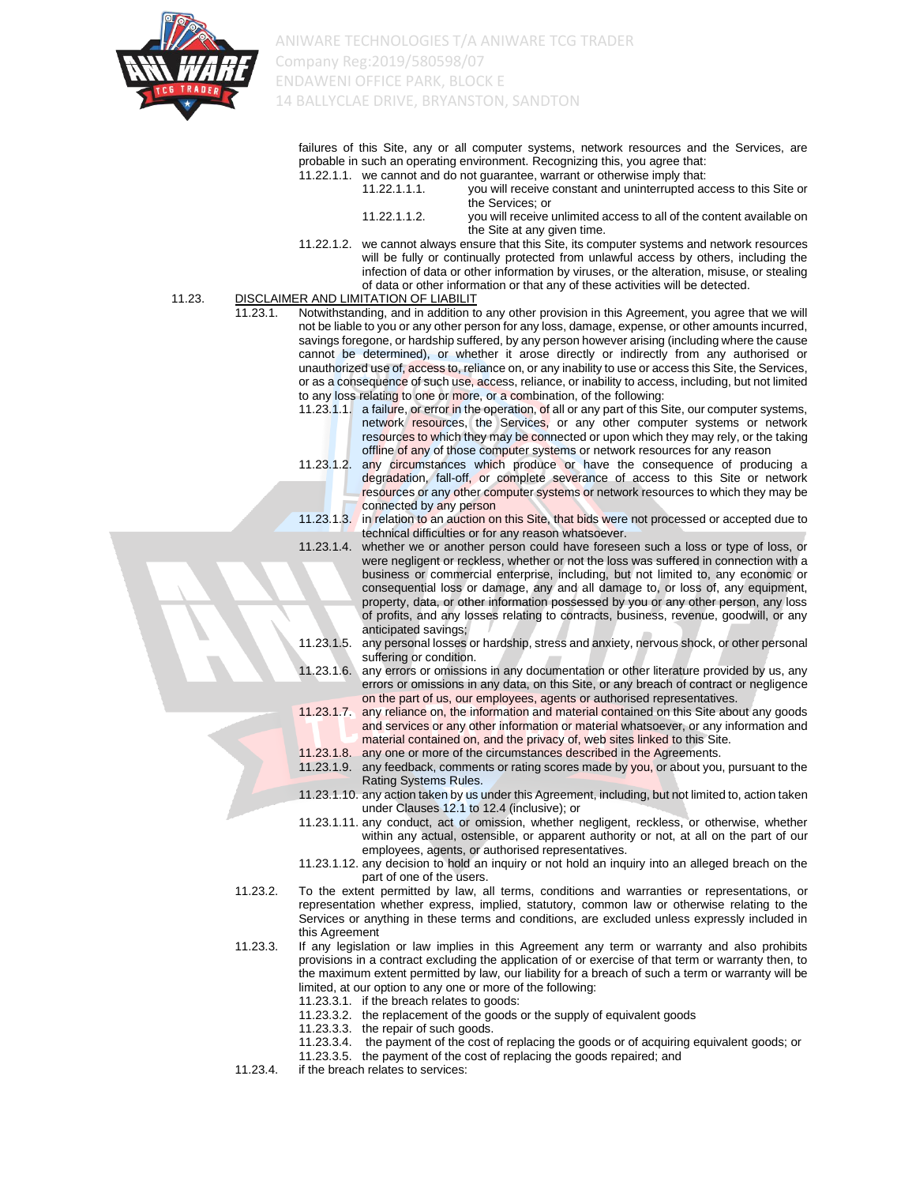

failures of this Site, any or all computer systems, network resources and the Services, are probable in such an operating environment. Recognizing this, you agree that:<br>11.22.1.1. We cannot and do not quarantee, warrant or otherwise imply that:  $11.22.1.1.$  we cannot

|              | We cannot and do not quarantee, warrant or otherwise imply that.   |
|--------------|--------------------------------------------------------------------|
| 11.22.1.1.1. | you will receive constant and uninterrupted access to this Site or |
|              | the Services: or                                                   |

| 11.22.1.1.2. | you will receive unlimited access to all of the content available on |
|--------------|----------------------------------------------------------------------|
|              | the Site at any given time.                                          |

11.22.1.2. we cannot always ensure that this Site, its computer systems and network resources will be fully or continually protected from unlawful access by others, including the infection of data or other information by viruses, or the alteration, misuse, or stealing of data or other information or that any of these activities will be detected.

#### 11.23. DISCLAIMER AND LIMITATION OF LIABILIT

- 11.23.1. Notwithstanding, and in addition to any other provision in this Agreement, you agree that we will not be liable to you or any other person for any loss, damage, expense, or other amounts incurred, savings foregone, or hardship suffered, by any person however arising (including where the cause cannot be determined), or whether it arose directly or indirectly from any authorised or unauthorized use of, access to, reliance on, or any inability to use or access this Site, the Services, or as a consequence of such use, access, reliance, or inability to access, including, but not limited to any loss relating to one or more, or a combination, of the following:
	- 11.23.1.1. a failure, or error in the operation, of all or any part of this Site, our computer systems, network resources, the Services, or any other computer systems or network resources to which they may be connected or upon which they may rely, or the taking offline of any of those computer systems or network resources for any reason
	- 11.23.1.2. any circumstances which produce or have the consequence of producing a degradation, fall-off, or complete severance of access to this Site or network resources or any other computer systems or network resources to which they may be connected by any person
	- 11.23.1.3. in relation to an auction on this Site, that bids were not processed or accepted due to technical difficulties or for any reason whatsoever.
	- 11.23.1.4. whether we or another person could have foreseen such a loss or type of loss, or were negligent or reckless, whether or not the loss was suffered in connection with a business or commercial enterprise, including, but not limited to, any economic or consequential loss or damage, any and all damage to, or loss of, any equipment, property, data, or other information possessed by you or any other person, any loss of profits, and any losses relating to contracts, business, revenue, goodwill, or any anticipated savings;
	- 11.23.1.5. any personal losses or hardship, stress and anxiety, nervous shock, or other personal suffering or condition.
	- 11.23.1.6. any errors or omissions in any documentation or other literature provided by us, any errors or omissions in any data, on this Site, or any breach of contract or negligence on the part of us, our employees, agents or authorised representatives.
	- 11.23.1.7. any reliance on, the information and material contained on this Site about any goods and services or any other information or material whatsoever, or any information and material contained on, and the privacy of, web sites linked to this Site.
	- 11.23.1.8. any one or more of the circumstances described in the Agreements.
	- 11.23.1.9. any feedback, comments or rating scores made by you, or about you, pursuant to the Rating Systems Rules.
	- 11.23.1.10. any action taken by us under this Agreement, including, but not limited to, action taken under Clauses 12.1 to 12.4 (inclusive); or
	- 11.23.1.11. any conduct, act or omission, whether negligent, reckless, or otherwise, whether within any actual, ostensible, or apparent authority or not, at all on the part of our employees, agents, or authorised representatives.
	- 11.23.1.12. any decision to hold an inquiry or not hold an inquiry into an alleged breach on the part of one of the users.
- 11.23.2. To the extent permitted by law, all terms, conditions and warranties or representations, or representation whether express, implied, statutory, common law or otherwise relating to the Services or anything in these terms and conditions, are excluded unless expressly included in this Agreement
- 11.23.3. If any legislation or law implies in this Agreement any term or warranty and also prohibits provisions in a contract excluding the application of or exercise of that term or warranty then, to the maximum extent permitted by law, our liability for a breach of such a term or warranty will be limited, at our option to any one or more of the following:
	- 11.23.3.1. if the breach relates to goods: 11.23.3.2. the replacement of the goods or the supply of equivalent goods
	- 11.23.3.3. the repair of such goods.
	- 11.23.3.4. the payment of the cost of replacing the goods or of acquiring equivalent goods; or
	- 11.23.3.5. the payment of the cost of replacing the goods repaired; and
- 11.23.4. if the breach relates to services: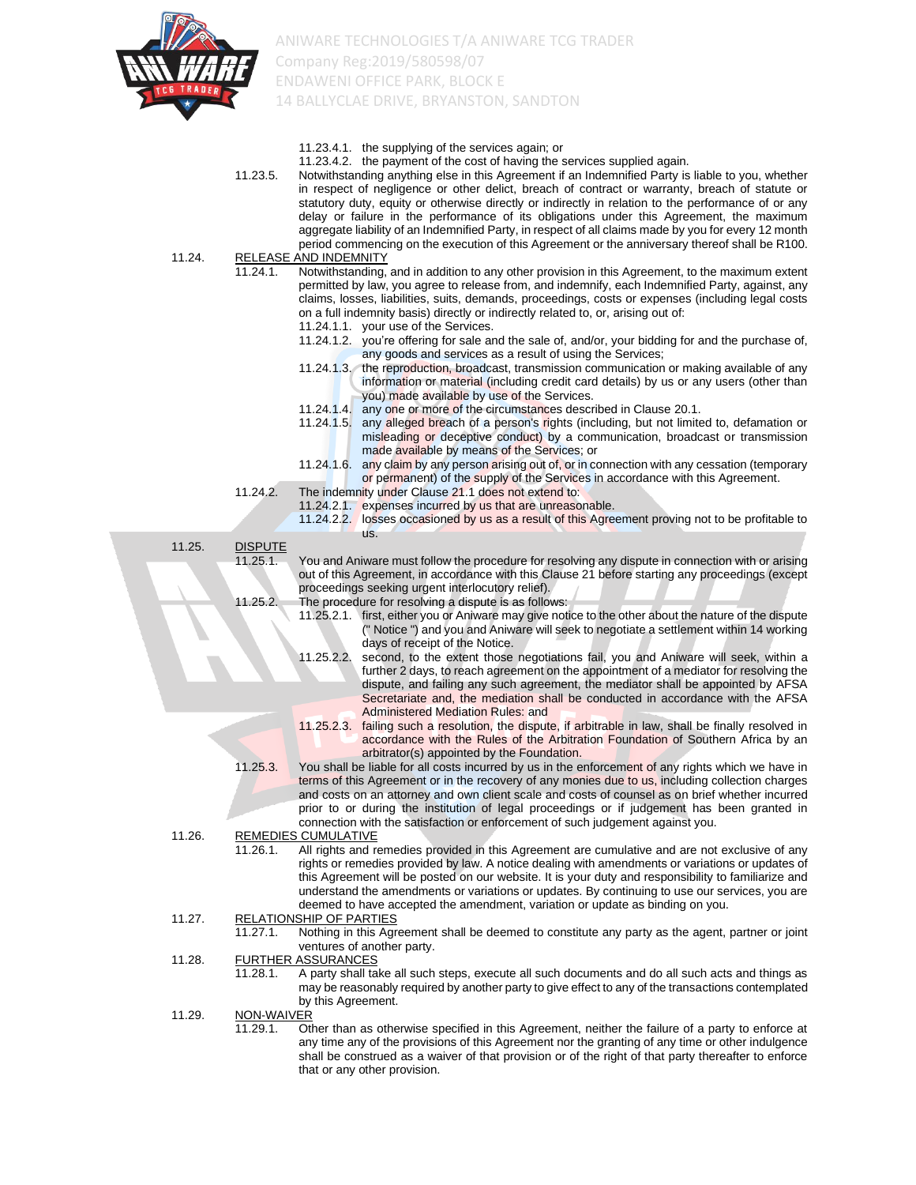

|        |                | 11.23.4.1. the supplying of the services again; or                                                                                                                                                     |
|--------|----------------|--------------------------------------------------------------------------------------------------------------------------------------------------------------------------------------------------------|
|        | 11.23.5.       | 11.23.4.2. the payment of the cost of having the services supplied again.<br>Notwithstanding anything else in this Agreement if an Indemnified Party is liable to you, whether                         |
|        |                | in respect of negligence or other delict, breach of contract or warranty, breach of statute or                                                                                                         |
|        |                | statutory duty, equity or otherwise directly or indirectly in relation to the performance of or any                                                                                                    |
|        |                | delay or failure in the performance of its obligations under this Agreement, the maximum                                                                                                               |
|        |                | aggregate liability of an Indemnified Party, in respect of all claims made by you for every 12 month                                                                                                   |
| 11.24. |                | period commencing on the execution of this Agreement or the anniversary thereof shall be R100.<br><b>RELEASE AND INDEMNITY</b>                                                                         |
|        | 11.24.1.       | Notwithstanding, and in addition to any other provision in this Agreement, to the maximum extent                                                                                                       |
|        |                | permitted by law, you agree to release from, and indemnify, each Indemnified Party, against, any                                                                                                       |
|        |                | claims, losses, liabilities, suits, demands, proceedings, costs or expenses (including legal costs                                                                                                     |
|        |                | on a full indemnity basis) directly or indirectly related to, or, arising out of:                                                                                                                      |
|        |                | 11.24.1.1. your use of the Services.                                                                                                                                                                   |
|        |                | 11.24.1.2. you're offering for sale and the sale of, and/or, your bidding for and the purchase of,                                                                                                     |
|        |                | any goods and services as a result of using the Services;<br>11.24.1.3. the reproduction, broadcast, transmission communication or making available of any                                             |
|        |                | information or material (including credit card details) by us or any users (other than                                                                                                                 |
|        |                | you) made available by use of the Services.                                                                                                                                                            |
|        |                | any one or more of the circumstances described in Clause 20.1.<br>11.24.1.4.                                                                                                                           |
|        |                | 11.24.1.5. any alleged breach of a person's rights (including, but not limited to, defamation or                                                                                                       |
|        |                | misleading or deceptive conduct) by a communication, broadcast or transmission                                                                                                                         |
|        |                | made available by means of the Services; or<br>any claim by any person arising out of, or in connection with any cessation (temporary<br>$11.24.1.6$ .                                                 |
|        |                | or permanent) of the supply of the Services in accordance with this Agreement.                                                                                                                         |
|        | 11.24.2.       | The indemnity under Clause 21.1 does not extend to:                                                                                                                                                    |
|        |                | 11.24.2.1. expenses incurred by us that are unreasonable.                                                                                                                                              |
|        |                | 11.24.2.2. losses occasioned by us as a result of this Agreement proving not to be profitable to                                                                                                       |
| 11.25. | <b>DISPUTE</b> | US.                                                                                                                                                                                                    |
|        | 11.25.1.       | You and Aniware must follow the procedure for resolving any dispute in connection with or arising                                                                                                      |
|        |                | out of this Agreement, in accordance with this Clause 21 before starting any proceedings (except                                                                                                       |
|        |                | proceedings seeking urgent interlocutory relief).                                                                                                                                                      |
|        | 11.25.2.       | The procedure for resolving a dispute is as follows:                                                                                                                                                   |
|        |                | 11.25.2.1. first, either you or Aniware may give notice to the other about the nature of the dispute                                                                                                   |
|        |                | (" Notice ") and you and Aniware will seek to negotiate a settlement within 14 working<br>days of receipt of the Notice.                                                                               |
|        |                | second, to the extent those negotiations fail, you and Aniware will seek, within a<br>11.25.2.2.                                                                                                       |
|        |                | further 2 days, to reach agreement on the appointment of a mediator for resolving the                                                                                                                  |
|        |                | dispute, and failing any such agreement, the mediator shall be appointed by AFSA                                                                                                                       |
|        |                | Secretariate and, the mediation shall be conducted in accordance with the AFSA<br><b>Administered Mediation Rules: and</b>                                                                             |
|        |                | 11.25.2.3. failing such a resolution, the dispute, if arbitrable in law, shall be finally resolved in                                                                                                  |
|        |                | accordance with the Rules of the Arbitration Foundation of Southern Africa by an                                                                                                                       |
|        |                | arbitrator(s) appointed by the Foundation.                                                                                                                                                             |
|        | 11.25.3.       | You shall be liable for all costs incurred by us in the enforcement of any rights which we have in                                                                                                     |
|        |                | terms of this Agreement or in the recovery of any monies due to us, including collection charges                                                                                                       |
|        |                | and costs on an attorney and own client scale and costs of counsel as on brief whether incurred<br>prior to or during the institution of legal proceedings or if judgement has been granted in         |
|        |                | connection with the satisfaction or enforcement of such judgement against you.                                                                                                                         |
| 11.26. |                | REMEDIES CUMULATIVE                                                                                                                                                                                    |
|        | 11.26.1.       | All rights and remedies provided in this Agreement are cumulative and are not exclusive of any                                                                                                         |
|        |                | rights or remedies provided by law. A notice dealing with amendments or variations or updates of                                                                                                       |
|        |                | this Agreement will be posted on our website. It is your duty and responsibility to familiarize and<br>understand the amendments or variations or updates. By continuing to use our services, you are  |
|        |                | deemed to have accepted the amendment, variation or update as binding on you.                                                                                                                          |
| 11.27. |                | <b>RELATIONSHIP OF PARTIES</b>                                                                                                                                                                         |
|        | 11.27.1.       | Nothing in this Agreement shall be deemed to constitute any party as the agent, partner or joint                                                                                                       |
|        |                | ventures of another party.                                                                                                                                                                             |
| 11.28. | 11.28.1.       | <b>FURTHER ASSURANCES</b>                                                                                                                                                                              |
|        |                | A party shall take all such steps, execute all such documents and do all such acts and things as<br>may be reasonably required by another party to give effect to any of the transactions contemplated |
|        |                | by this Agreement.                                                                                                                                                                                     |
| 11.29. | NON-WAIVER     |                                                                                                                                                                                                        |
|        | 11.29.1.       | Other than as otherwise specified in this Agreement, neither the failure of a party to enforce at                                                                                                      |
|        |                | any time any of the provisions of this Agreement nor the granting of any time or other indulgence                                                                                                      |
|        |                | shall be construed as a waiver of that provision or of the right of that party thereafter to enforce<br>that or any other provision.                                                                   |
|        |                |                                                                                                                                                                                                        |